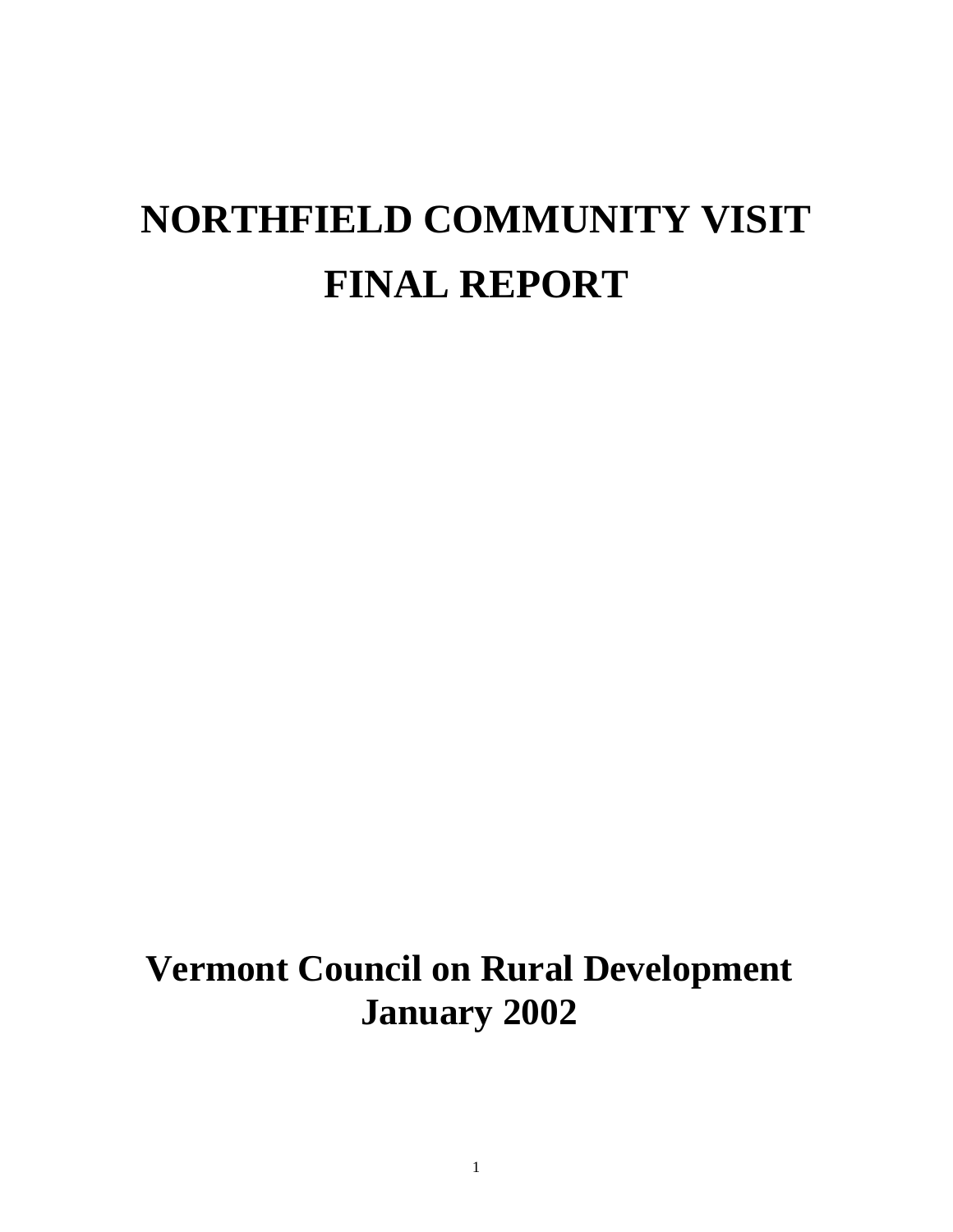# **NORTHFIELD COMMUNITY VISIT FINAL REPORT**

# **Vermont Council on Rural Development January 2002**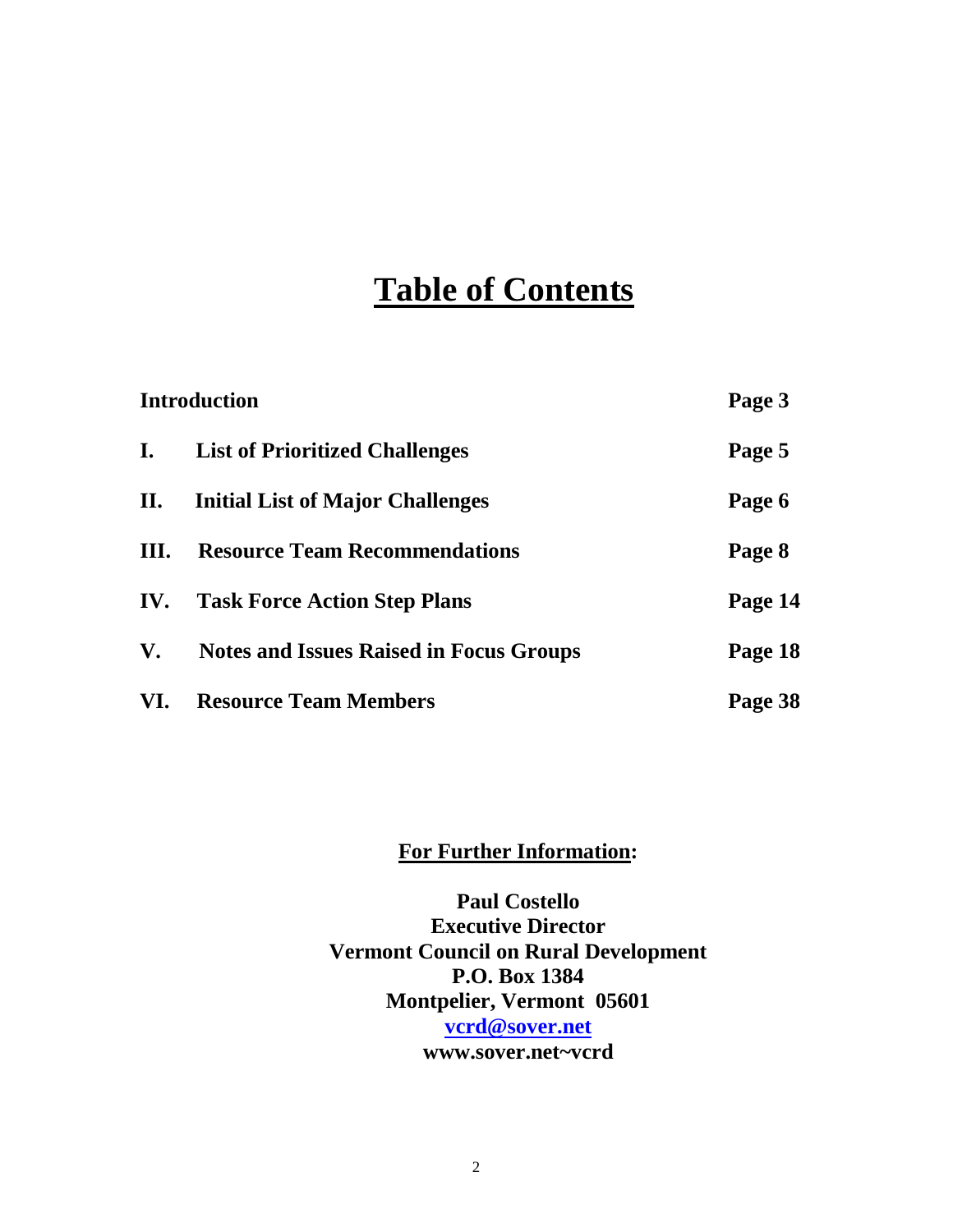# **Table of Contents**

| <b>Introduction</b> |                                                | Page 3  |
|---------------------|------------------------------------------------|---------|
| $\mathbf{I}$ .      | <b>List of Prioritized Challenges</b>          | Page 5  |
| П.                  | <b>Initial List of Major Challenges</b>        | Page 6  |
| III.                | <b>Resource Team Recommendations</b>           | Page 8  |
| IV.                 | <b>Task Force Action Step Plans</b>            | Page 14 |
| $V_{\bullet}$       | <b>Notes and Issues Raised in Focus Groups</b> | Page 18 |
| VI.                 | <b>Resource Team Members</b>                   | Page 38 |

### **For Further Information:**

**Paul Costello Executive Director Vermont Council on Rural Development P.O. Box 1384 Montpelier, Vermont 05601 [vcrd@sover.net](mailto:vcrd@sover.net) www.sover.net~vcrd**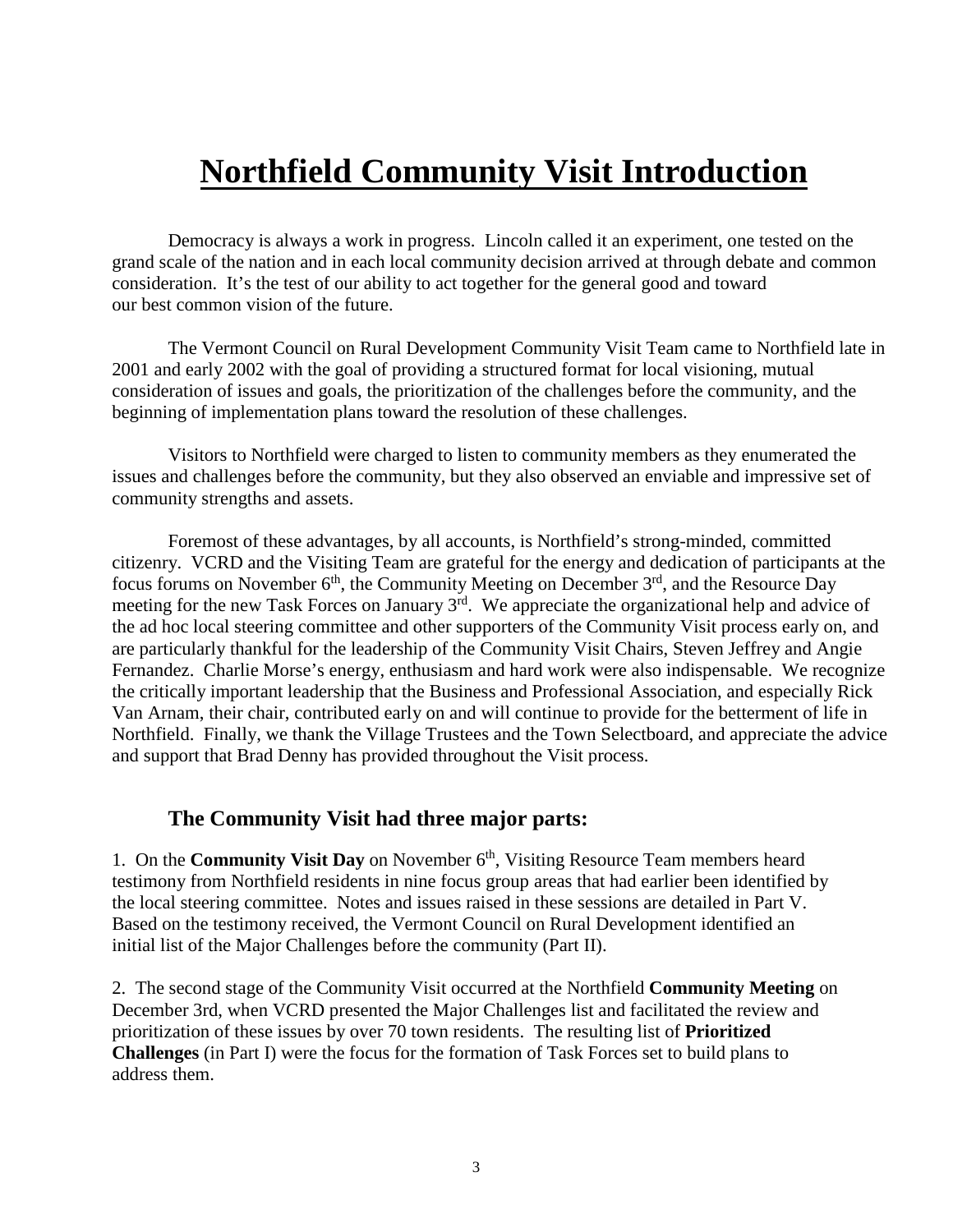# **Northfield Community Visit Introduction**

Democracy is always a work in progress. Lincoln called it an experiment, one tested on the grand scale of the nation and in each local community decision arrived at through debate and common consideration. It's the test of our ability to act together for the general good and toward our best common vision of the future.

The Vermont Council on Rural Development Community Visit Team came to Northfield late in 2001 and early 2002 with the goal of providing a structured format for local visioning, mutual consideration of issues and goals, the prioritization of the challenges before the community, and the beginning of implementation plans toward the resolution of these challenges.

Visitors to Northfield were charged to listen to community members as they enumerated the issues and challenges before the community, but they also observed an enviable and impressive set of community strengths and assets.

Foremost of these advantages, by all accounts, is Northfield's strong-minded, committed citizenry. VCRD and the Visiting Team are grateful for the energy and dedication of participants at the focus forums on November  $6<sup>th</sup>$ , the Community Meeting on December  $3<sup>rd</sup>$ , and the Resource Day meeting for the new Task Forces on January 3<sup>rd</sup>. We appreciate the organizational help and advice of the ad hoc local steering committee and other supporters of the Community Visit process early on, and are particularly thankful for the leadership of the Community Visit Chairs, Steven Jeffrey and Angie Fernandez. Charlie Morse's energy, enthusiasm and hard work were also indispensable. We recognize the critically important leadership that the Business and Professional Association, and especially Rick Van Arnam, their chair, contributed early on and will continue to provide for the betterment of life in Northfield. Finally, we thank the Village Trustees and the Town Selectboard, and appreciate the advice and support that Brad Denny has provided throughout the Visit process.

#### **The Community Visit had three major parts:**

1. On the **Community Visit Day** on November 6<sup>th</sup>, Visiting Resource Team members heard testimony from Northfield residents in nine focus group areas that had earlier been identified by the local steering committee. Notes and issues raised in these sessions are detailed in Part V. Based on the testimony received, the Vermont Council on Rural Development identified an initial list of the Major Challenges before the community (Part II).

2. The second stage of the Community Visit occurred at the Northfield **Community Meeting** on December 3rd, when VCRD presented the Major Challenges list and facilitated the review and prioritization of these issues by over 70 town residents. The resulting list of **Prioritized Challenges** (in Part I) were the focus for the formation of Task Forces set to build plans to address them.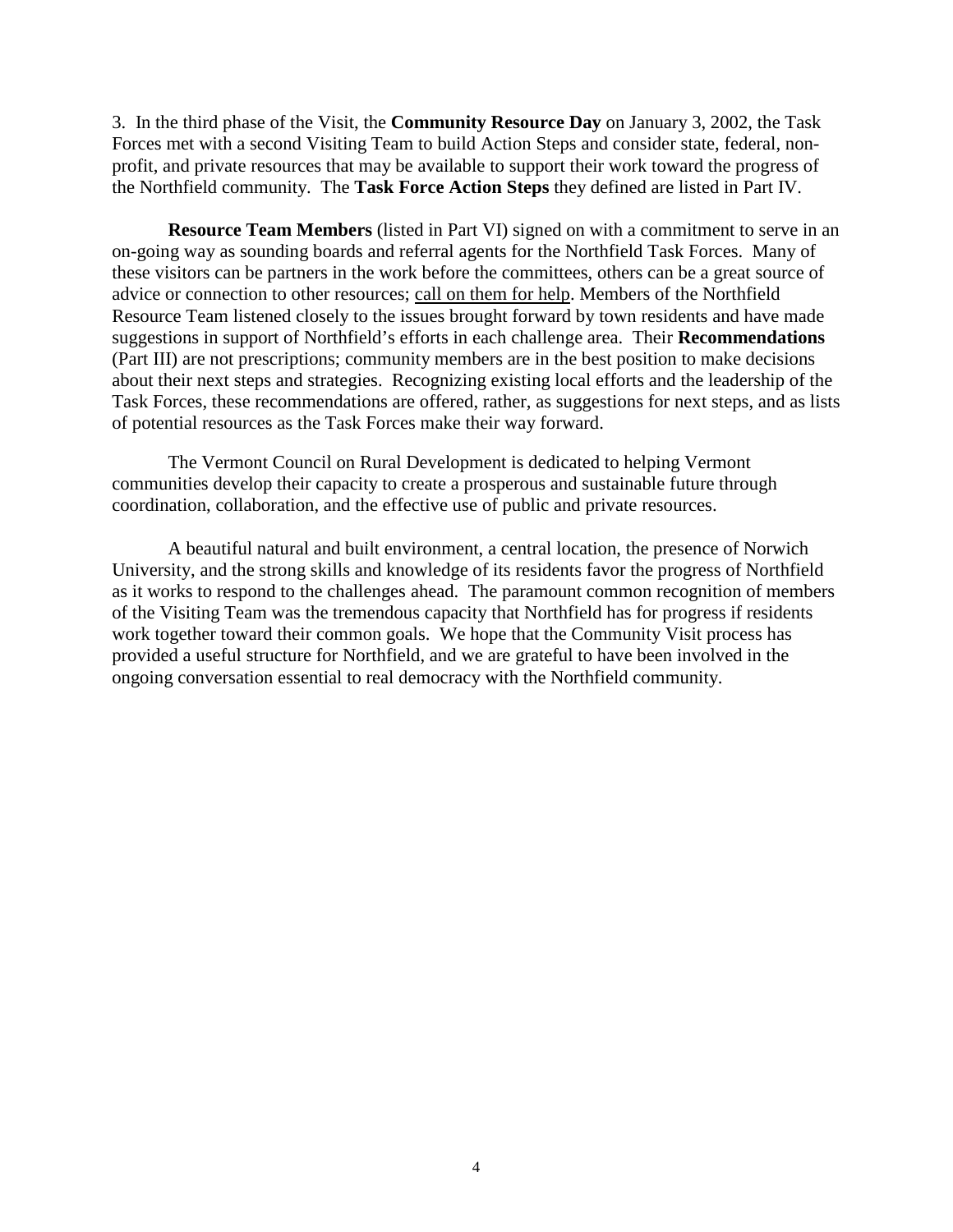3. In the third phase of the Visit, the **Community Resource Day** on January 3, 2002, the Task Forces met with a second Visiting Team to build Action Steps and consider state, federal, nonprofit, and private resources that may be available to support their work toward the progress of the Northfield community. The **Task Force Action Steps** they defined are listed in Part IV.

**Resource Team Members** (listed in Part VI) signed on with a commitment to serve in an on-going way as sounding boards and referral agents for the Northfield Task Forces. Many of these visitors can be partners in the work before the committees, others can be a great source of advice or connection to other resources; call on them for help. Members of the Northfield Resource Team listened closely to the issues brought forward by town residents and have made suggestions in support of Northfield's efforts in each challenge area. Their **Recommendations** (Part III) are not prescriptions; community members are in the best position to make decisions about their next steps and strategies. Recognizing existing local efforts and the leadership of the Task Forces, these recommendations are offered, rather, as suggestions for next steps, and as lists of potential resources as the Task Forces make their way forward.

The Vermont Council on Rural Development is dedicated to helping Vermont communities develop their capacity to create a prosperous and sustainable future through coordination, collaboration, and the effective use of public and private resources.

A beautiful natural and built environment, a central location, the presence of Norwich University, and the strong skills and knowledge of its residents favor the progress of Northfield as it works to respond to the challenges ahead. The paramount common recognition of members of the Visiting Team was the tremendous capacity that Northfield has for progress if residents work together toward their common goals. We hope that the Community Visit process has provided a useful structure for Northfield, and we are grateful to have been involved in the ongoing conversation essential to real democracy with the Northfield community.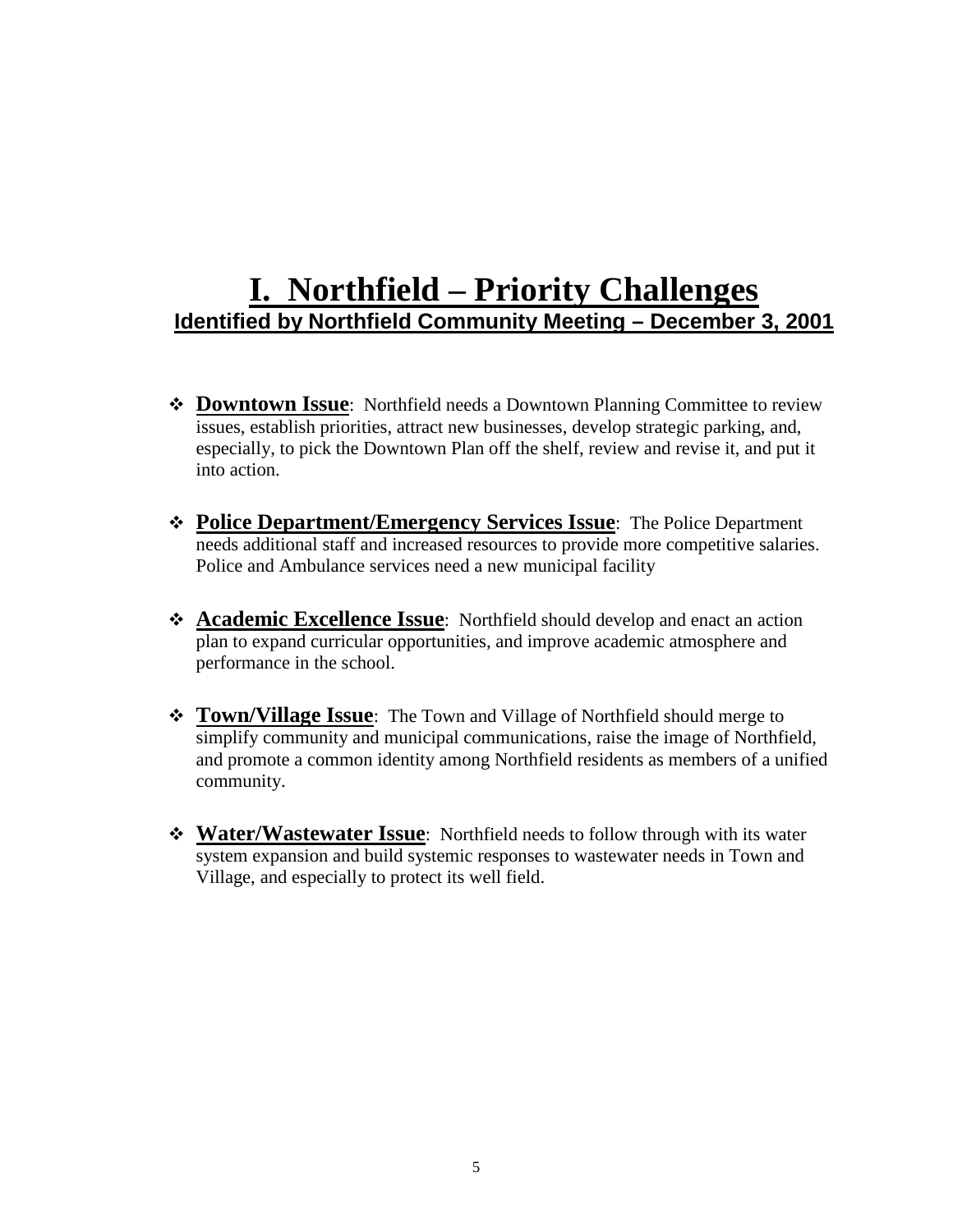# **I. Northfield – Priority Challenges Identified by Northfield Community Meeting – December 3, 2001**

- $\triangle$  **Downtown Issue**: Northfield needs a Downtown Planning Committee to review issues, establish priorities, attract new businesses, develop strategic parking, and, especially, to pick the Downtown Plan off the shelf, review and revise it, and put it into action.
- **Police Department/Emergency Services Issue**: The Police Department needs additional staff and increased resources to provide more competitive salaries. Police and Ambulance services need a new municipal facility
- **Academic Excellence Issue**: Northfield should develop and enact an action plan to expand curricular opportunities, and improve academic atmosphere and performance in the school.
- **Town/Village Issue**: The Town and Village of Northfield should merge to simplify community and municipal communications, raise the image of Northfield, and promote a common identity among Northfield residents as members of a unified community.
- **Water/Wastewater Issue**: Northfield needs to follow through with its water system expansion and build systemic responses to wastewater needs in Town and Village, and especially to protect its well field.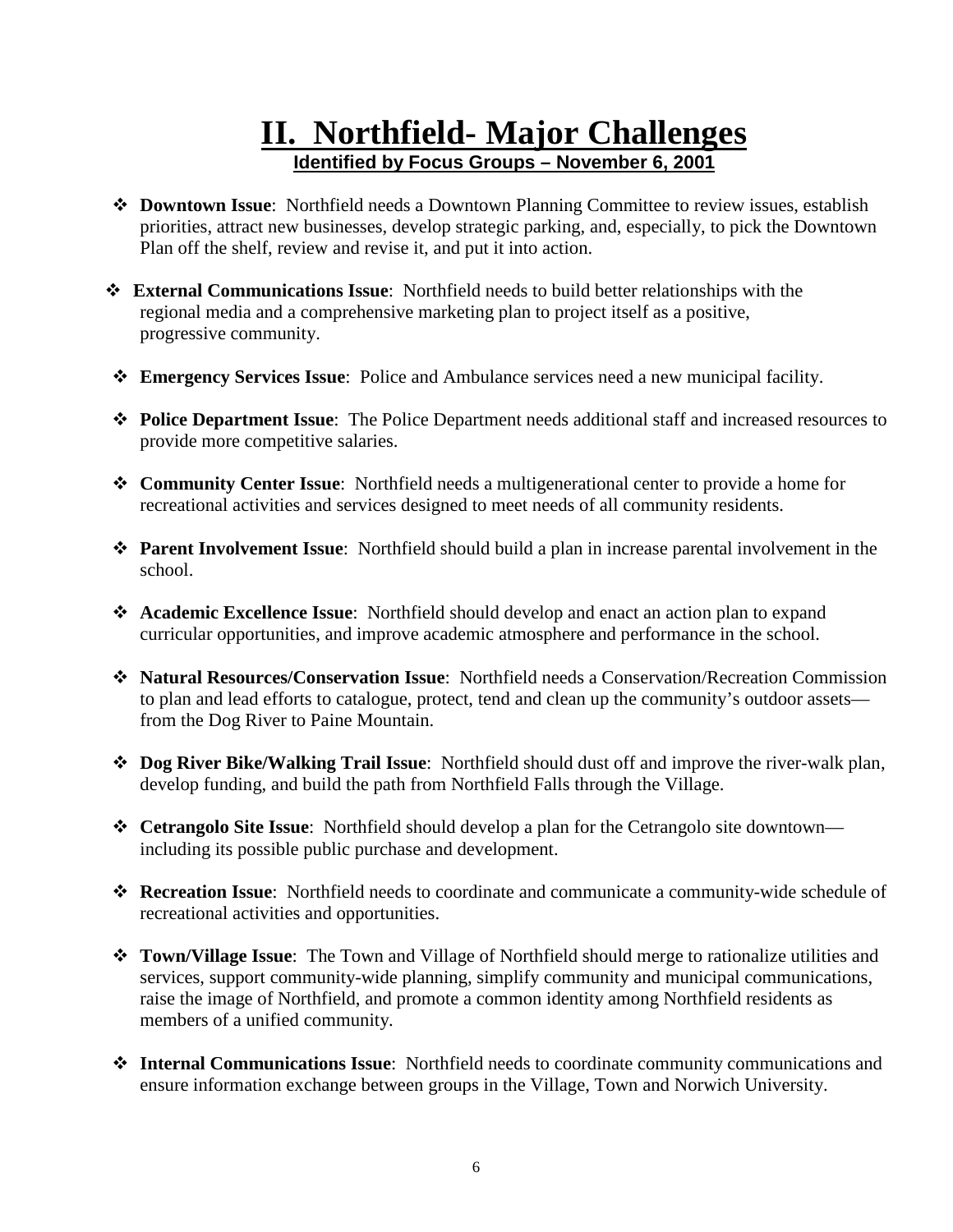# **II. Northfield- Major Challenges Identified by Focus Groups – November 6, 2001**

- **Downtown Issue**: Northfield needs a Downtown Planning Committee to review issues, establish priorities, attract new businesses, develop strategic parking, and, especially, to pick the Downtown Plan off the shelf, review and revise it, and put it into action.
- **External Communications Issue**: Northfield needs to build better relationships with the regional media and a comprehensive marketing plan to project itself as a positive, progressive community.
- **Emergency Services Issue**: Police and Ambulance services need a new municipal facility.
- **Police Department Issue**: The Police Department needs additional staff and increased resources to provide more competitive salaries.
- **Community Center Issue**: Northfield needs a multigenerational center to provide a home for recreational activities and services designed to meet needs of all community residents.
- **Parent Involvement Issue**: Northfield should build a plan in increase parental involvement in the school.
- **Academic Excellence Issue**: Northfield should develop and enact an action plan to expand curricular opportunities, and improve academic atmosphere and performance in the school.
- **Natural Resources/Conservation Issue**: Northfield needs a Conservation/Recreation Commission to plan and lead efforts to catalogue, protect, tend and clean up the community's outdoor assets from the Dog River to Paine Mountain.
- **Dog River Bike/Walking Trail Issue**: Northfield should dust off and improve the river-walk plan, develop funding, and build the path from Northfield Falls through the Village.
- **Cetrangolo Site Issue**: Northfield should develop a plan for the Cetrangolo site downtown including its possible public purchase and development.
- **\* Recreation Issue**: Northfield needs to coordinate and communicate a community-wide schedule of recreational activities and opportunities.
- **Town/Village Issue**: The Town and Village of Northfield should merge to rationalize utilities and services, support community-wide planning, simplify community and municipal communications, raise the image of Northfield, and promote a common identity among Northfield residents as members of a unified community.
- **Internal Communications Issue**: Northfield needs to coordinate community communications and ensure information exchange between groups in the Village, Town and Norwich University.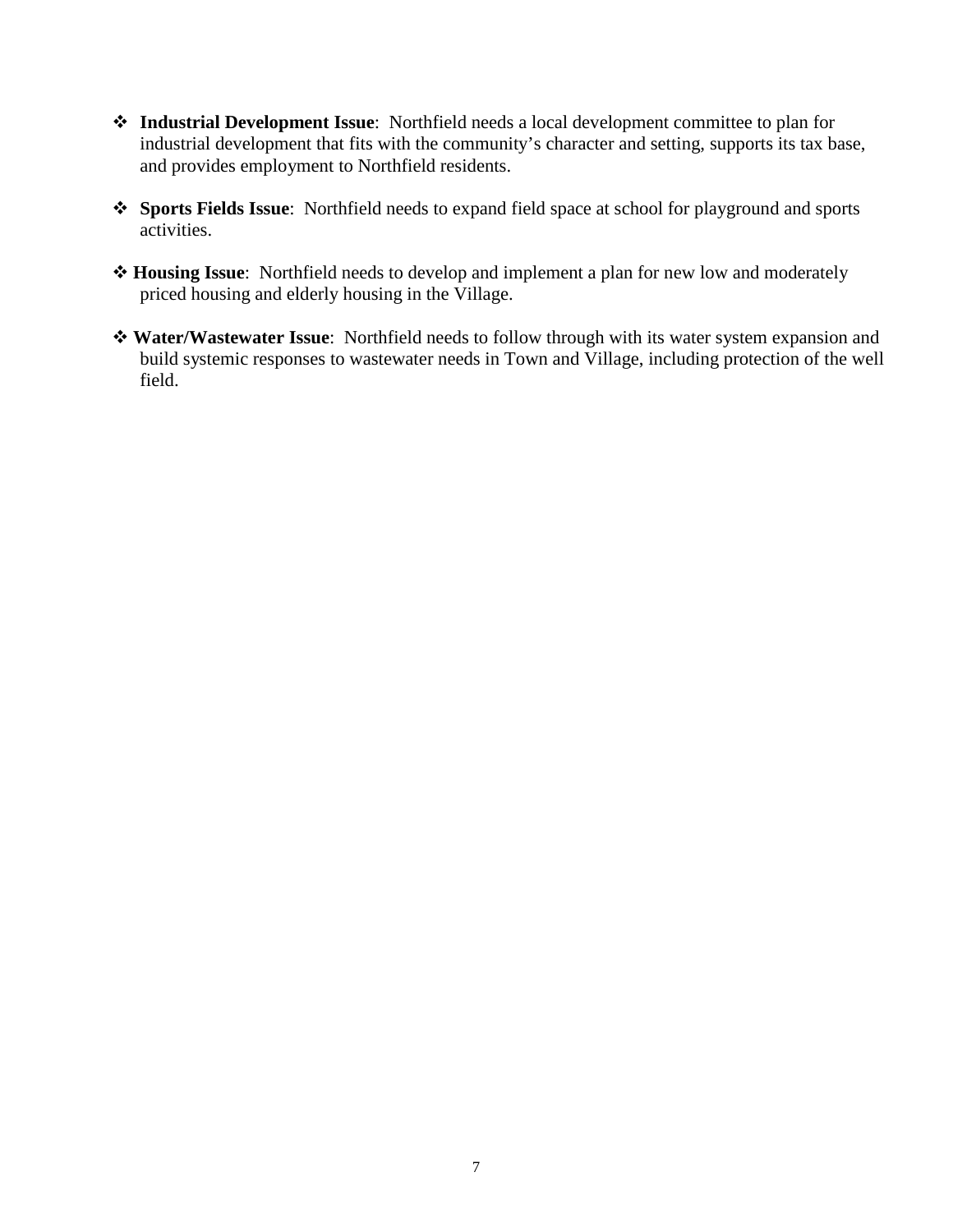- **Industrial Development Issue**: Northfield needs a local development committee to plan for industrial development that fits with the community's character and setting, supports its tax base, and provides employment to Northfield residents.
- **Sports Fields Issue**: Northfield needs to expand field space at school for playground and sports activities.
- **Housing Issue**: Northfield needs to develop and implement a plan for new low and moderately priced housing and elderly housing in the Village.
- **Water/Wastewater Issue**: Northfield needs to follow through with its water system expansion and build systemic responses to wastewater needs in Town and Village, including protection of the well field.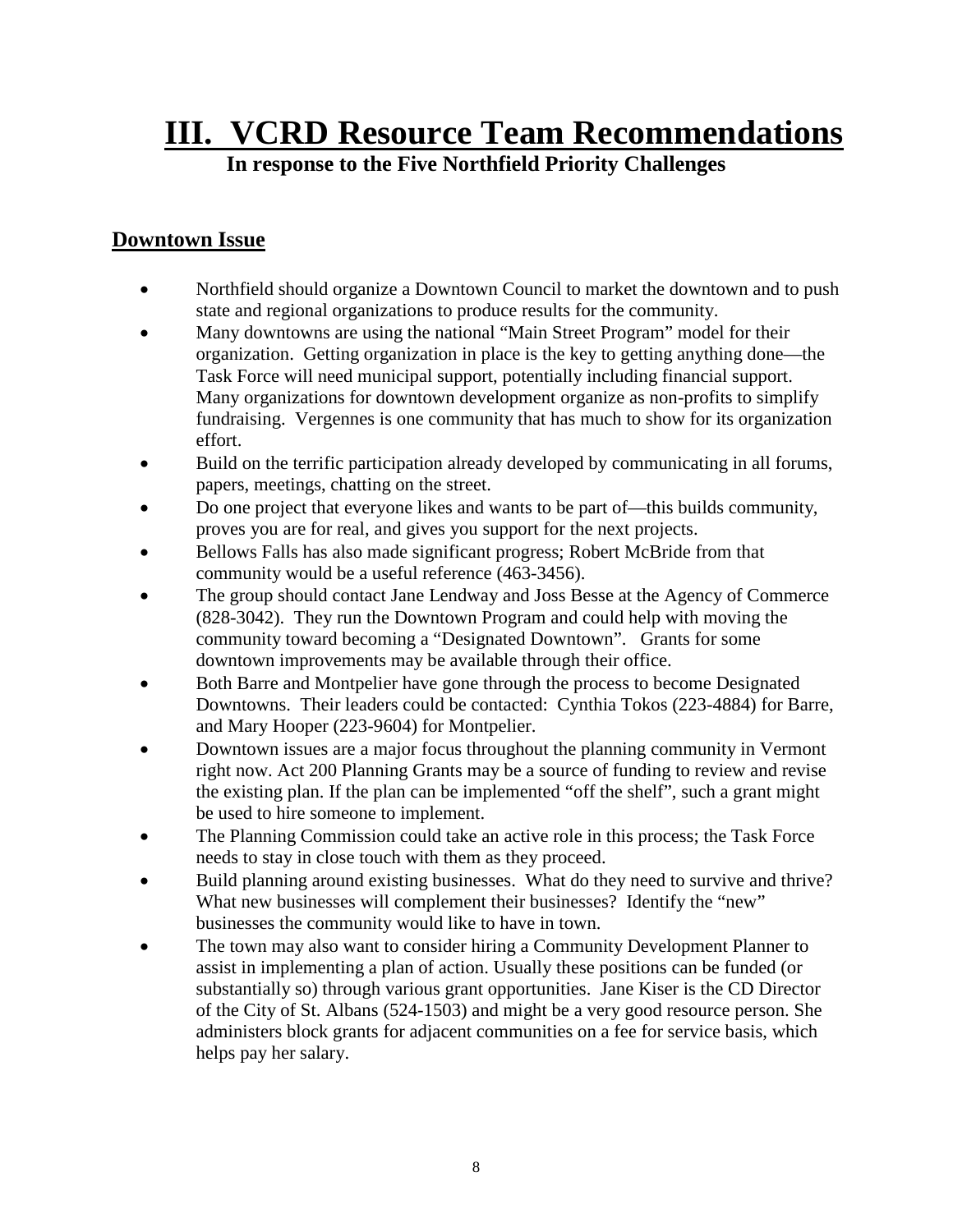# **III. VCRD Resource Team Recommendations**

### **In response to the Five Northfield Priority Challenges**

#### **Downtown Issue**

- Northfield should organize a Downtown Council to market the downtown and to push state and regional organizations to produce results for the community.
- Many downtowns are using the national "Main Street Program" model for their organization. Getting organization in place is the key to getting anything done—the Task Force will need municipal support, potentially including financial support. Many organizations for downtown development organize as non-profits to simplify fundraising. Vergennes is one community that has much to show for its organization effort.
- Build on the terrific participation already developed by communicating in all forums, papers, meetings, chatting on the street.
- Do one project that everyone likes and wants to be part of—this builds community, proves you are for real, and gives you support for the next projects.
- Bellows Falls has also made significant progress; Robert McBride from that community would be a useful reference (463-3456).
- The group should contact Jane Lendway and Joss Besse at the Agency of Commerce (828-3042). They run the Downtown Program and could help with moving the community toward becoming a "Designated Downtown". Grants for some downtown improvements may be available through their office.
- Both Barre and Montpelier have gone through the process to become Designated Downtowns. Their leaders could be contacted: Cynthia Tokos (223-4884) for Barre, and Mary Hooper (223-9604) for Montpelier.
- Downtown issues are a major focus throughout the planning community in Vermont right now. Act 200 Planning Grants may be a source of funding to review and revise the existing plan. If the plan can be implemented "off the shelf", such a grant might be used to hire someone to implement.
- The Planning Commission could take an active role in this process; the Task Force needs to stay in close touch with them as they proceed.
- Build planning around existing businesses. What do they need to survive and thrive? What new businesses will complement their businesses? Identify the "new" businesses the community would like to have in town.
- The town may also want to consider hiring a Community Development Planner to assist in implementing a plan of action. Usually these positions can be funded (or substantially so) through various grant opportunities. Jane Kiser is the CD Director of the City of St. Albans (524-1503) and might be a very good resource person. She administers block grants for adjacent communities on a fee for service basis, which helps pay her salary.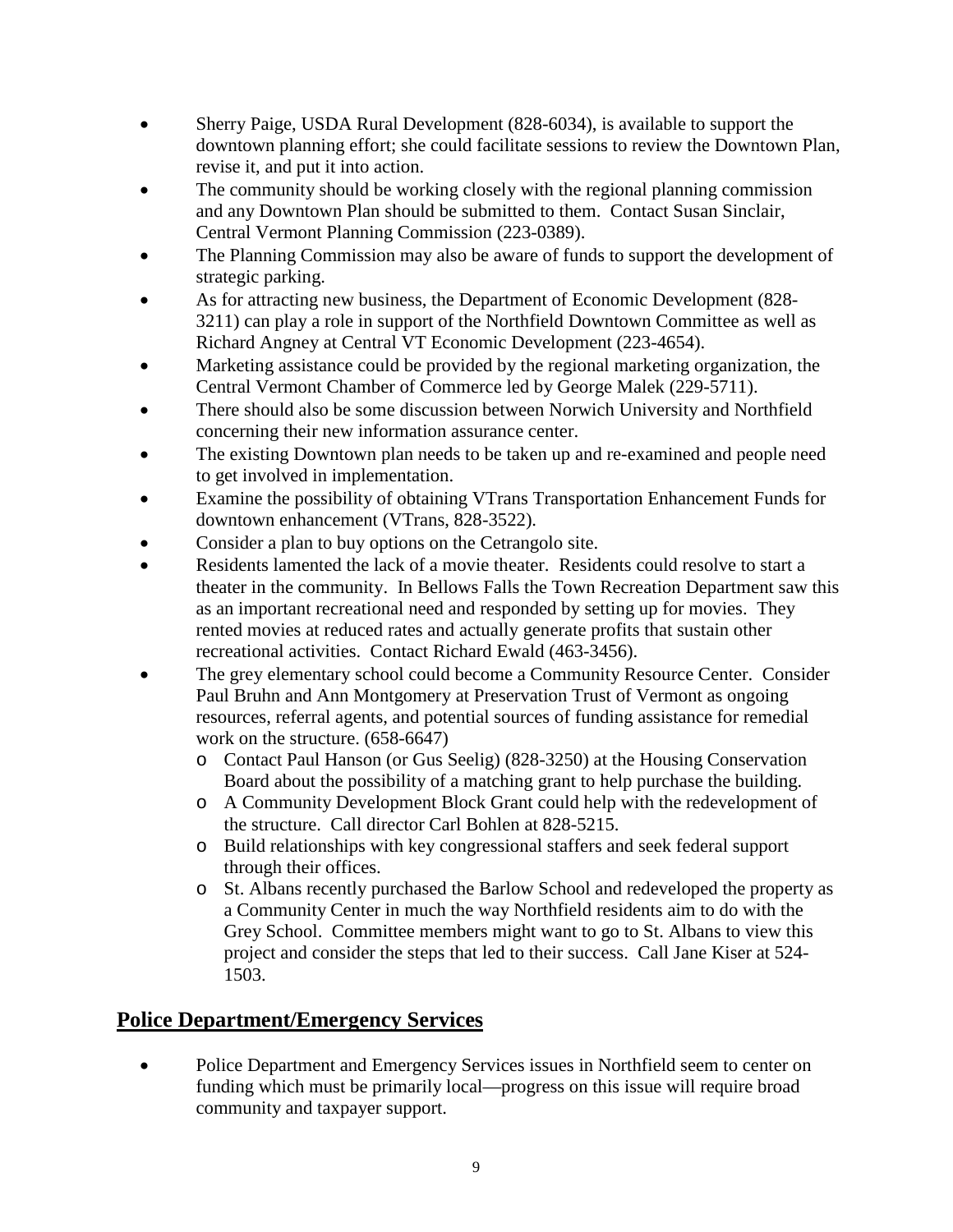- Sherry Paige, USDA Rural Development (828-6034), is available to support the downtown planning effort; she could facilitate sessions to review the Downtown Plan, revise it, and put it into action.
- The community should be working closely with the regional planning commission and any Downtown Plan should be submitted to them. Contact Susan Sinclair, Central Vermont Planning Commission (223-0389).
- The Planning Commission may also be aware of funds to support the development of strategic parking.
- As for attracting new business, the Department of Economic Development (828- 3211) can play a role in support of the Northfield Downtown Committee as well as Richard Angney at Central VT Economic Development (223-4654).
- Marketing assistance could be provided by the regional marketing organization, the Central Vermont Chamber of Commerce led by George Malek (229-5711).
- There should also be some discussion between Norwich University and Northfield concerning their new information assurance center.
- The existing Downtown plan needs to be taken up and re-examined and people need to get involved in implementation.
- Examine the possibility of obtaining VTrans Transportation Enhancement Funds for downtown enhancement (VTrans, 828-3522).
- Consider a plan to buy options on the Cetrangolo site.
- Residents lamented the lack of a movie theater. Residents could resolve to start a theater in the community. In Bellows Falls the Town Recreation Department saw this as an important recreational need and responded by setting up for movies. They rented movies at reduced rates and actually generate profits that sustain other recreational activities. Contact Richard Ewald (463-3456).
- The grey elementary school could become a Community Resource Center. Consider Paul Bruhn and Ann Montgomery at Preservation Trust of Vermont as ongoing resources, referral agents, and potential sources of funding assistance for remedial work on the structure. (658-6647)
	- o Contact Paul Hanson (or Gus Seelig) (828-3250) at the Housing Conservation Board about the possibility of a matching grant to help purchase the building.
	- o A Community Development Block Grant could help with the redevelopment of the structure. Call director Carl Bohlen at 828-5215.
	- o Build relationships with key congressional staffers and seek federal support through their offices.
	- o St. Albans recently purchased the Barlow School and redeveloped the property as a Community Center in much the way Northfield residents aim to do with the Grey School. Committee members might want to go to St. Albans to view this project and consider the steps that led to their success. Call Jane Kiser at 524- 1503.

### **Police Department/Emergency Services**

• Police Department and Emergency Services issues in Northfield seem to center on funding which must be primarily local—progress on this issue will require broad community and taxpayer support.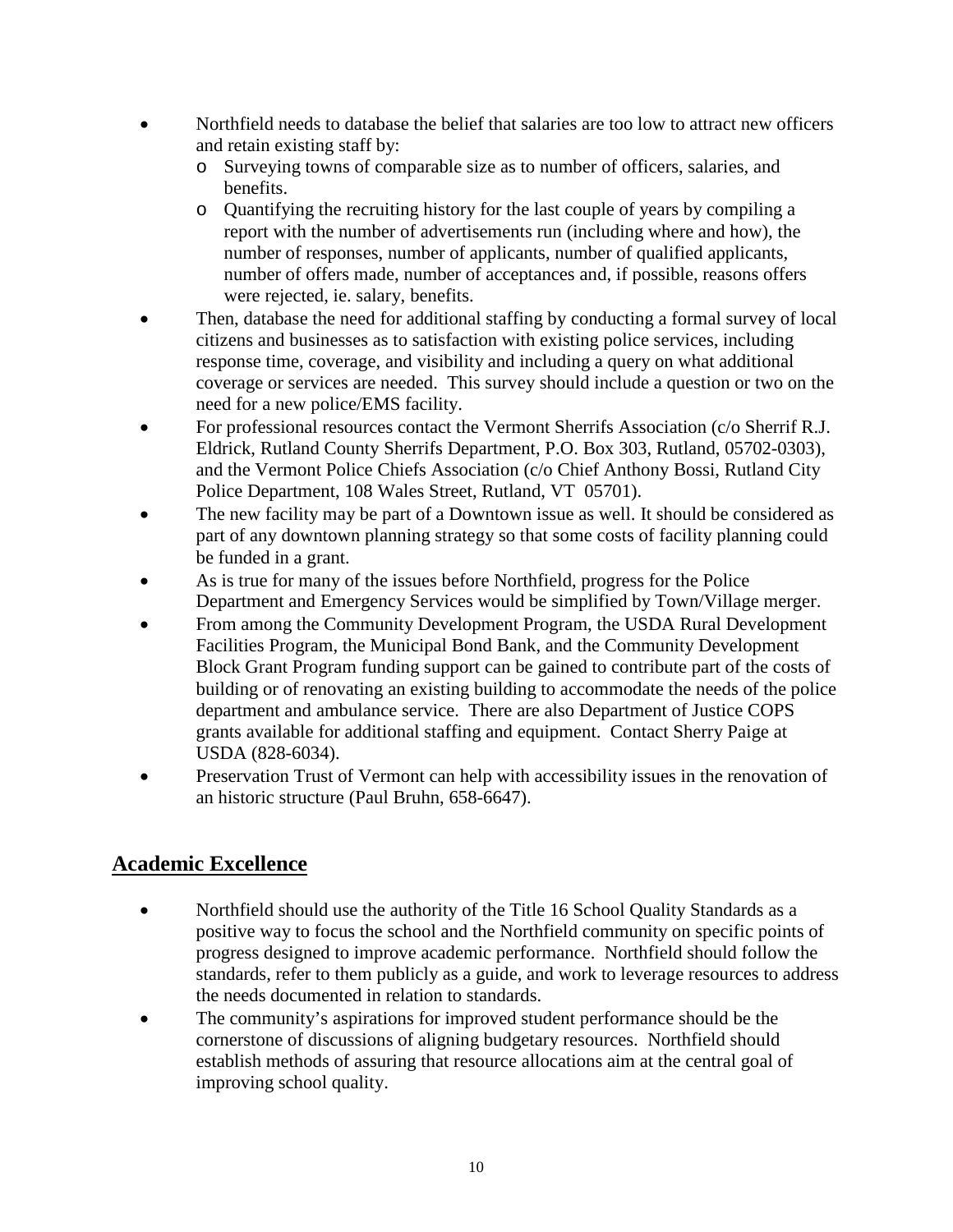- Northfield needs to database the belief that salaries are too low to attract new officers and retain existing staff by:
	- o Surveying towns of comparable size as to number of officers, salaries, and benefits.
	- o Quantifying the recruiting history for the last couple of years by compiling a report with the number of advertisements run (including where and how), the number of responses, number of applicants, number of qualified applicants, number of offers made, number of acceptances and, if possible, reasons offers were rejected, ie. salary, benefits.
- Then, database the need for additional staffing by conducting a formal survey of local citizens and businesses as to satisfaction with existing police services, including response time, coverage, and visibility and including a query on what additional coverage or services are needed. This survey should include a question or two on the need for a new police/EMS facility.
- For professional resources contact the Vermont Sherrifs Association (c/o Sherrif R.J. Eldrick, Rutland County Sherrifs Department, P.O. Box 303, Rutland, 05702-0303), and the Vermont Police Chiefs Association (c/o Chief Anthony Bossi, Rutland City Police Department, 108 Wales Street, Rutland, VT 05701).
- The new facility may be part of a Downtown issue as well. It should be considered as part of any downtown planning strategy so that some costs of facility planning could be funded in a grant.
- As is true for many of the issues before Northfield, progress for the Police Department and Emergency Services would be simplified by Town/Village merger.
- From among the Community Development Program, the USDA Rural Development Facilities Program, the Municipal Bond Bank, and the Community Development Block Grant Program funding support can be gained to contribute part of the costs of building or of renovating an existing building to accommodate the needs of the police department and ambulance service. There are also Department of Justice COPS grants available for additional staffing and equipment. Contact Sherry Paige at USDA (828-6034).
- Preservation Trust of Vermont can help with accessibility issues in the renovation of an historic structure (Paul Bruhn, 658-6647).

#### **Academic Excellence**

- Northfield should use the authority of the Title 16 School Quality Standards as a positive way to focus the school and the Northfield community on specific points of progress designed to improve academic performance. Northfield should follow the standards, refer to them publicly as a guide, and work to leverage resources to address the needs documented in relation to standards.
- The community's aspirations for improved student performance should be the cornerstone of discussions of aligning budgetary resources. Northfield should establish methods of assuring that resource allocations aim at the central goal of improving school quality.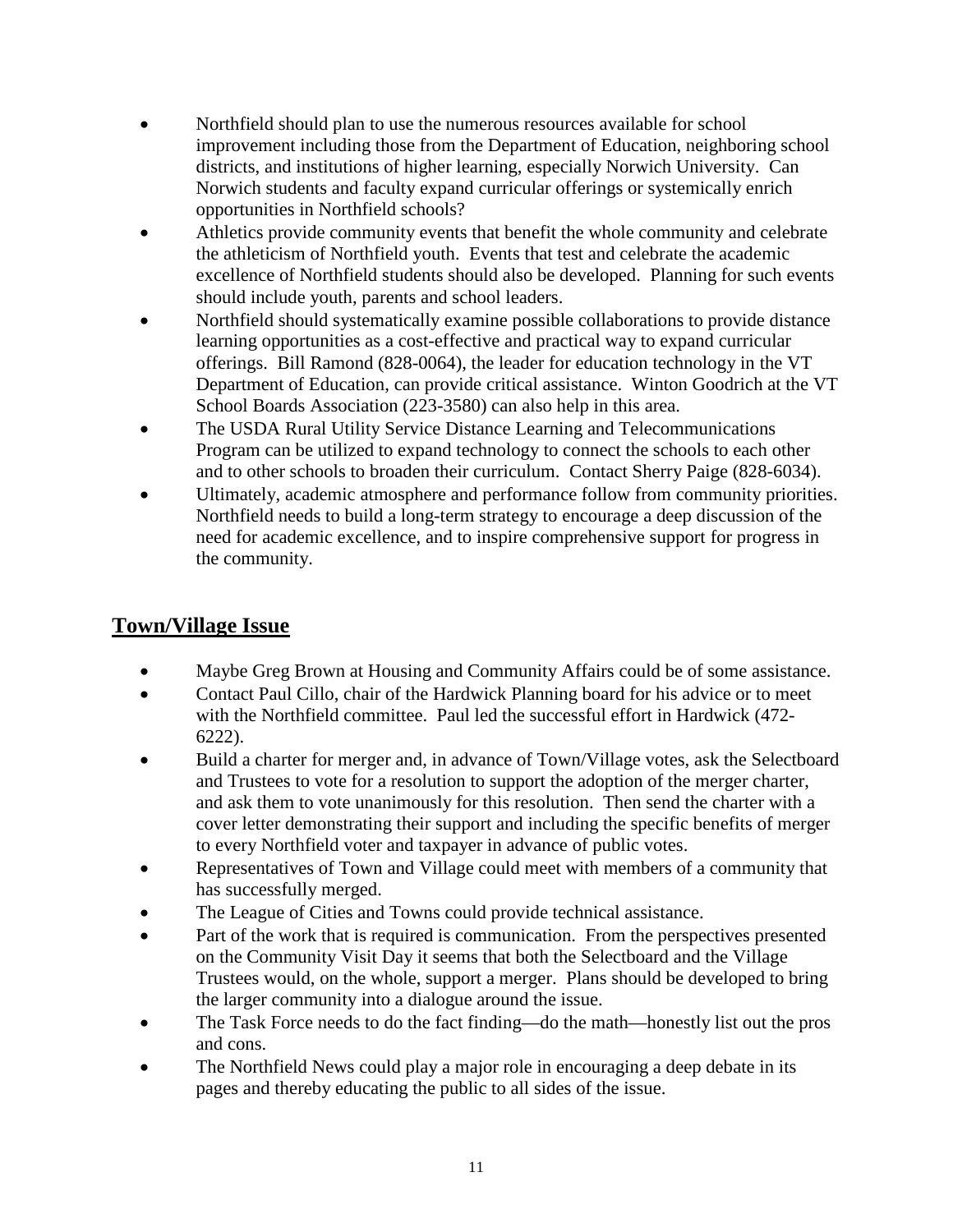- Northfield should plan to use the numerous resources available for school improvement including those from the Department of Education, neighboring school districts, and institutions of higher learning, especially Norwich University. Can Norwich students and faculty expand curricular offerings or systemically enrich opportunities in Northfield schools?
- Athletics provide community events that benefit the whole community and celebrate the athleticism of Northfield youth. Events that test and celebrate the academic excellence of Northfield students should also be developed. Planning for such events should include youth, parents and school leaders.
- Northfield should systematically examine possible collaborations to provide distance learning opportunities as a cost-effective and practical way to expand curricular offerings. Bill Ramond (828-0064), the leader for education technology in the VT Department of Education, can provide critical assistance. Winton Goodrich at the VT School Boards Association (223-3580) can also help in this area.
- The USDA Rural Utility Service Distance Learning and Telecommunications Program can be utilized to expand technology to connect the schools to each other and to other schools to broaden their curriculum. Contact Sherry Paige (828-6034).
- Ultimately, academic atmosphere and performance follow from community priorities. Northfield needs to build a long-term strategy to encourage a deep discussion of the need for academic excellence, and to inspire comprehensive support for progress in the community.

#### **Town/Village Issue**

- Maybe Greg Brown at Housing and Community Affairs could be of some assistance.
- Contact Paul Cillo, chair of the Hardwick Planning board for his advice or to meet with the Northfield committee. Paul led the successful effort in Hardwick (472- 6222).
- Build a charter for merger and, in advance of Town/Village votes, ask the Selectboard and Trustees to vote for a resolution to support the adoption of the merger charter, and ask them to vote unanimously for this resolution. Then send the charter with a cover letter demonstrating their support and including the specific benefits of merger to every Northfield voter and taxpayer in advance of public votes.
- Representatives of Town and Village could meet with members of a community that has successfully merged.
- The League of Cities and Towns could provide technical assistance.
- Part of the work that is required is communication. From the perspectives presented on the Community Visit Day it seems that both the Selectboard and the Village Trustees would, on the whole, support a merger. Plans should be developed to bring the larger community into a dialogue around the issue.
- The Task Force needs to do the fact finding—do the math—honestly list out the pros and cons.
- The Northfield News could play a major role in encouraging a deep debate in its pages and thereby educating the public to all sides of the issue.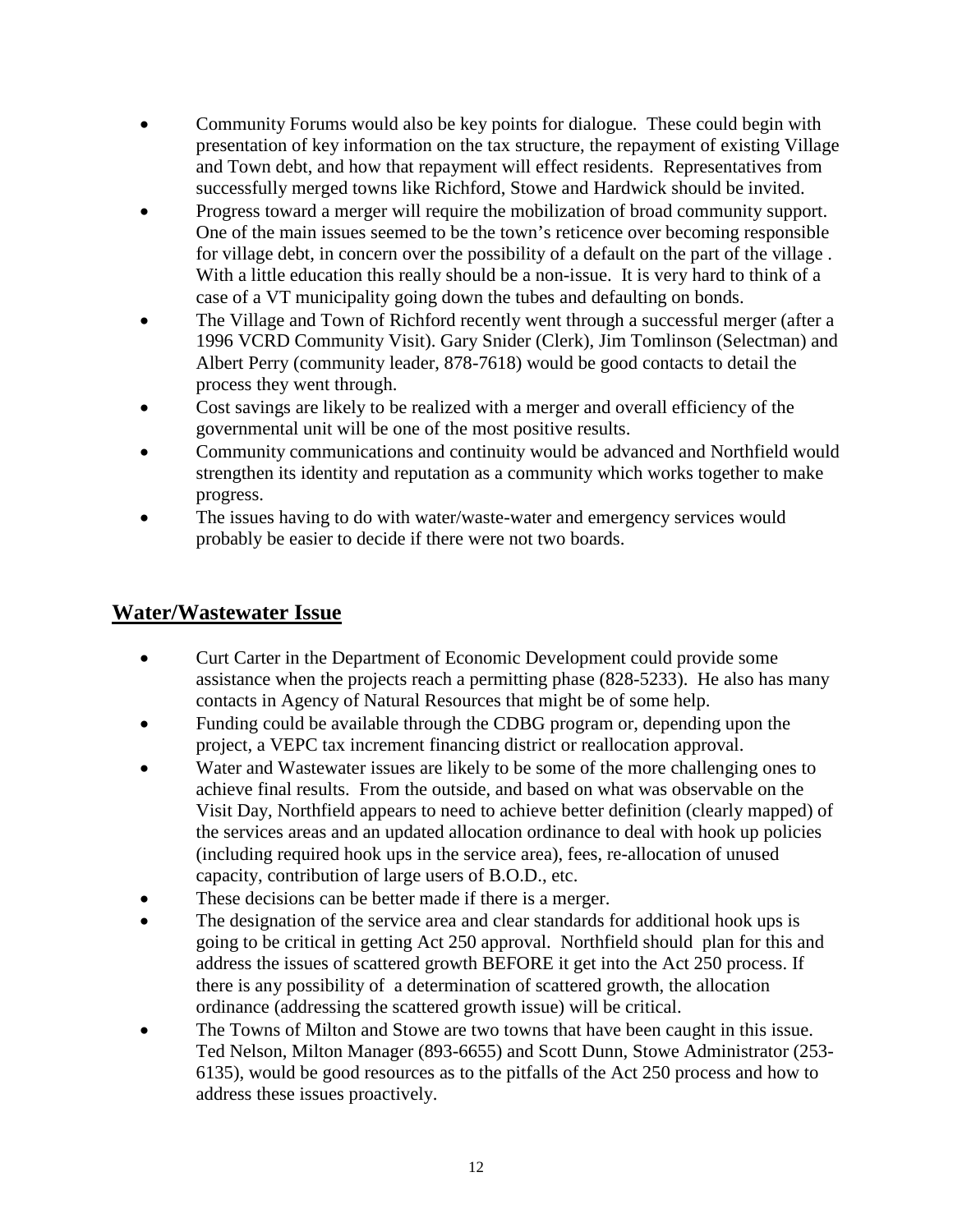- Community Forums would also be key points for dialogue. These could begin with presentation of key information on the tax structure, the repayment of existing Village and Town debt, and how that repayment will effect residents. Representatives from successfully merged towns like Richford, Stowe and Hardwick should be invited.
- Progress toward a merger will require the mobilization of broad community support. One of the main issues seemed to be the town's reticence over becoming responsible for village debt, in concern over the possibility of a default on the part of the village . With a little education this really should be a non-issue. It is very hard to think of a case of a VT municipality going down the tubes and defaulting on bonds.
- The Village and Town of Richford recently went through a successful merger (after a 1996 VCRD Community Visit). Gary Snider (Clerk), Jim Tomlinson (Selectman) and Albert Perry (community leader, 878-7618) would be good contacts to detail the process they went through.
- Cost savings are likely to be realized with a merger and overall efficiency of the governmental unit will be one of the most positive results.
- Community communications and continuity would be advanced and Northfield would strengthen its identity and reputation as a community which works together to make progress.
- The issues having to do with water/waste-water and emergency services would probably be easier to decide if there were not two boards.

#### **Water/Wastewater Issue**

- Curt Carter in the Department of Economic Development could provide some assistance when the projects reach a permitting phase (828-5233). He also has many contacts in Agency of Natural Resources that might be of some help.
- Funding could be available through the CDBG program or, depending upon the project, a VEPC tax increment financing district or reallocation approval.
- Water and Wastewater issues are likely to be some of the more challenging ones to achieve final results. From the outside, and based on what was observable on the Visit Day, Northfield appears to need to achieve better definition (clearly mapped) of the services areas and an updated allocation ordinance to deal with hook up policies (including required hook ups in the service area), fees, re-allocation of unused capacity, contribution of large users of B.O.D., etc.
- These decisions can be better made if there is a merger.
- The designation of the service area and clear standards for additional hook ups is going to be critical in getting Act 250 approval. Northfield should plan for this and address the issues of scattered growth BEFORE it get into the Act 250 process. If there is any possibility of a determination of scattered growth, the allocation ordinance (addressing the scattered growth issue) will be critical.
- The Towns of Milton and Stowe are two towns that have been caught in this issue. Ted Nelson, Milton Manager (893-6655) and Scott Dunn, Stowe Administrator (253- 6135), would be good resources as to the pitfalls of the Act 250 process and how to address these issues proactively.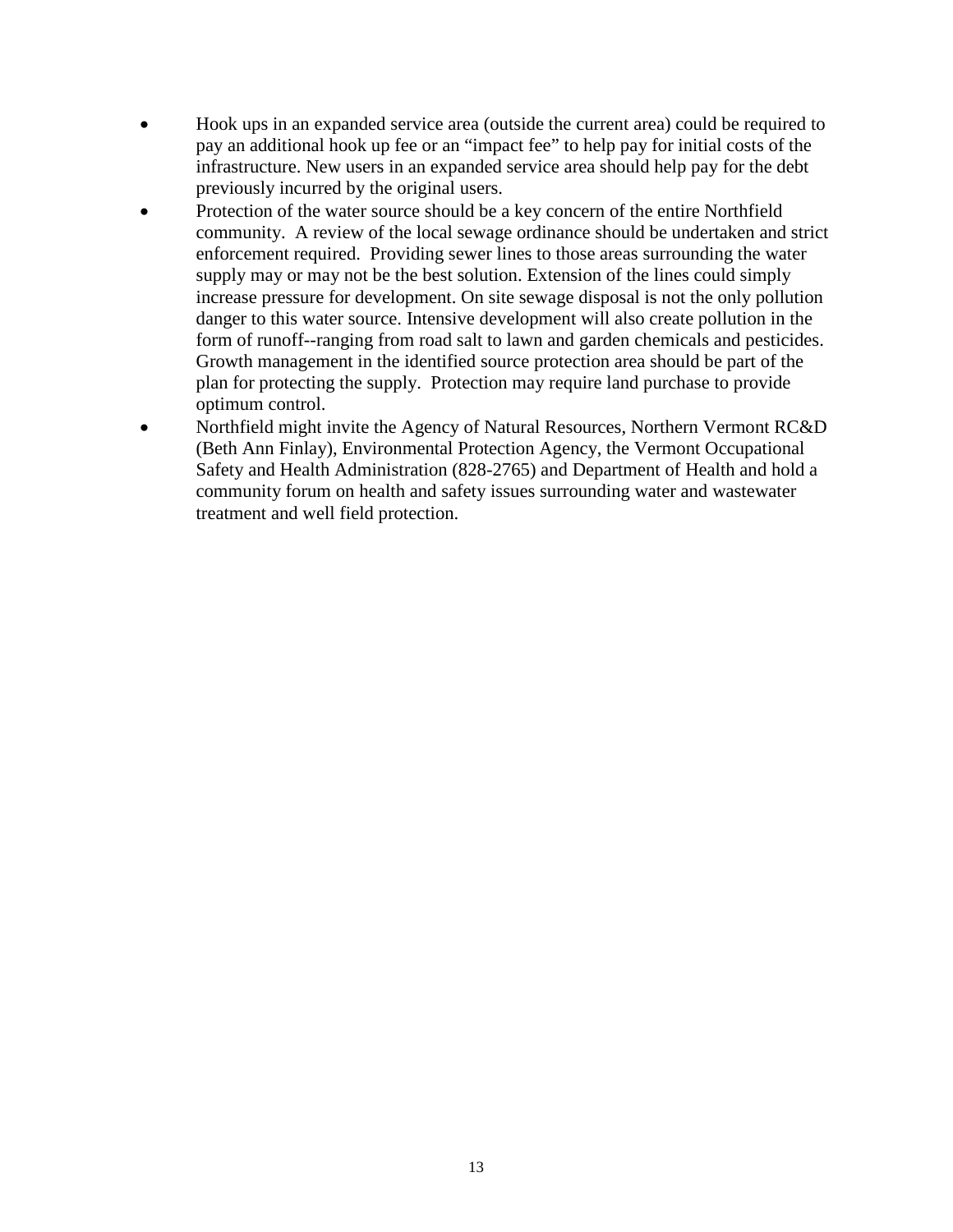- Hook ups in an expanded service area (outside the current area) could be required to pay an additional hook up fee or an "impact fee" to help pay for initial costs of the infrastructure. New users in an expanded service area should help pay for the debt previously incurred by the original users.
- Protection of the water source should be a key concern of the entire Northfield community. A review of the local sewage ordinance should be undertaken and strict enforcement required. Providing sewer lines to those areas surrounding the water supply may or may not be the best solution. Extension of the lines could simply increase pressure for development. On site sewage disposal is not the only pollution danger to this water source. Intensive development will also create pollution in the form of runoff--ranging from road salt to lawn and garden chemicals and pesticides. Growth management in the identified source protection area should be part of the plan for protecting the supply. Protection may require land purchase to provide optimum control.
- Northfield might invite the Agency of Natural Resources, Northern Vermont RC&D (Beth Ann Finlay), Environmental Protection Agency, the Vermont Occupational Safety and Health Administration (828-2765) and Department of Health and hold a community forum on health and safety issues surrounding water and wastewater treatment and well field protection.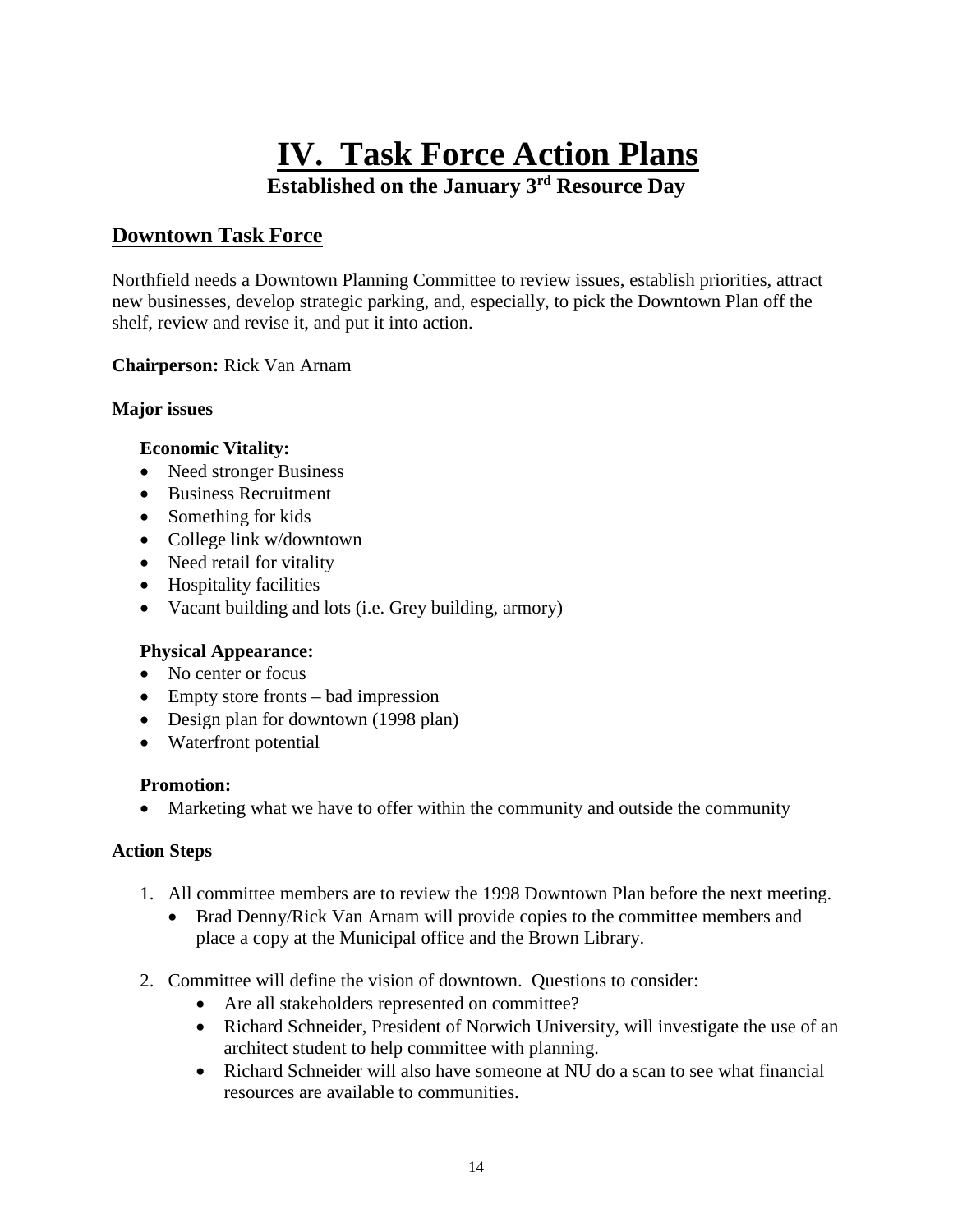# **IV. Task Force Action Plans**

**Established on the January 3rd Resource Day**

#### **Downtown Task Force**

Northfield needs a Downtown Planning Committee to review issues, establish priorities, attract new businesses, develop strategic parking, and, especially, to pick the Downtown Plan off the shelf, review and revise it, and put it into action.

#### **Chairperson:** Rick Van Arnam

#### **Major issues**

#### **Economic Vitality:**

- Need stronger Business
- Business Recruitment
- Something for kids
- College link w/downtown
- Need retail for vitality
- Hospitality facilities
- Vacant building and lots (i.e. Grey building, armory)

#### **Physical Appearance:**

- No center or focus
- Empty store fronts bad impression
- Design plan for downtown (1998 plan)
- Waterfront potential

#### **Promotion:**

• Marketing what we have to offer within the community and outside the community

#### **Action Steps**

- 1. All committee members are to review the 1998 Downtown Plan before the next meeting.
	- Brad Denny/Rick Van Arnam will provide copies to the committee members and place a copy at the Municipal office and the Brown Library.
- 2. Committee will define the vision of downtown. Questions to consider:
	- Are all stakeholders represented on committee?
	- Richard Schneider, President of Norwich University, will investigate the use of an architect student to help committee with planning.
	- Richard Schneider will also have someone at NU do a scan to see what financial resources are available to communities.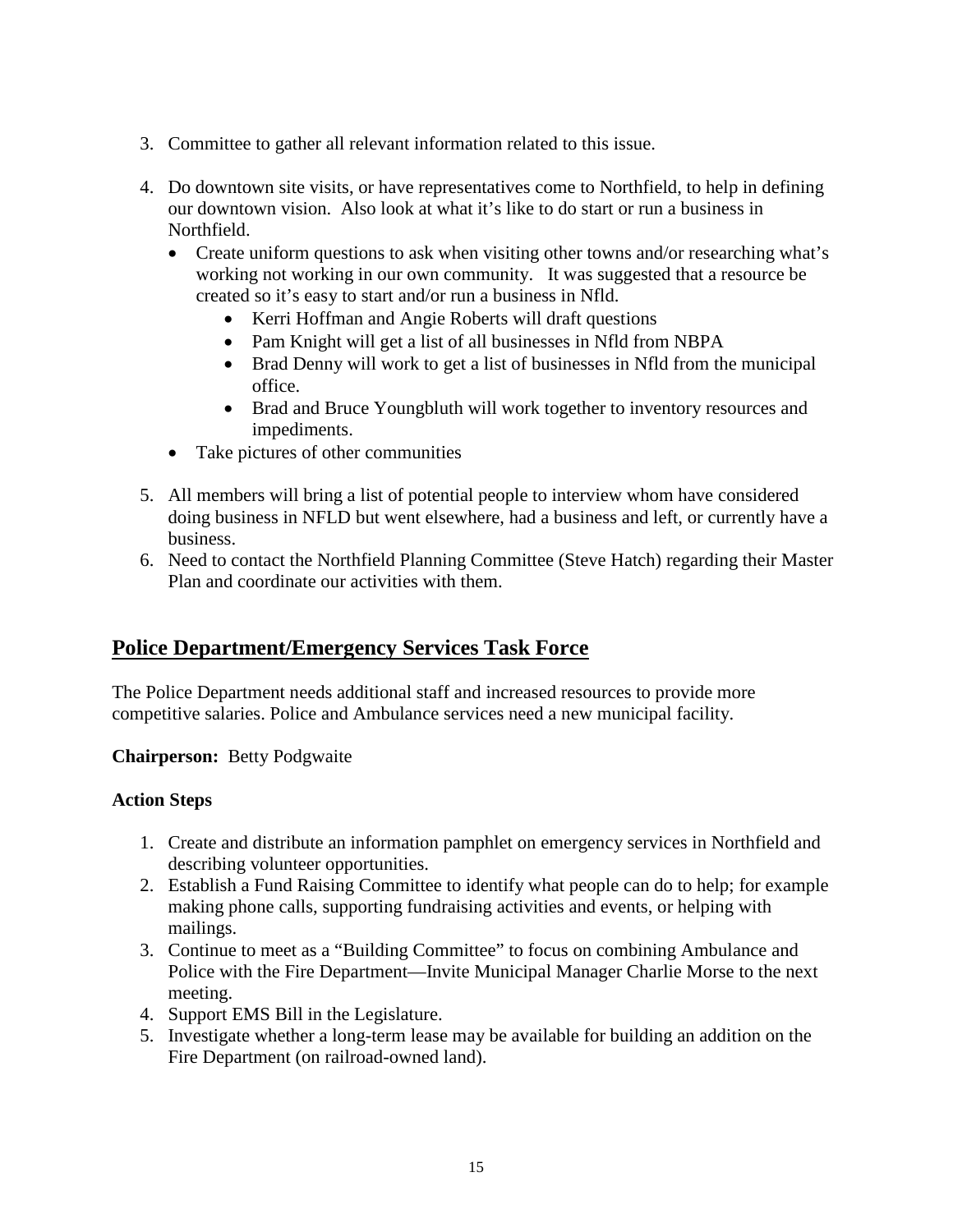- 3. Committee to gather all relevant information related to this issue.
- 4. Do downtown site visits, or have representatives come to Northfield, to help in defining our downtown vision. Also look at what it's like to do start or run a business in Northfield.
	- Create uniform questions to ask when visiting other towns and/or researching what's working not working in our own community. It was suggested that a resource be created so it's easy to start and/or run a business in Nfld.
		- Kerri Hoffman and Angie Roberts will draft questions
		- Pam Knight will get a list of all businesses in Nfld from NBPA
		- Brad Denny will work to get a list of businesses in Nfld from the municipal office.
		- Brad and Bruce Youngbluth will work together to inventory resources and impediments.
	- Take pictures of other communities
- 5. All members will bring a list of potential people to interview whom have considered doing business in NFLD but went elsewhere, had a business and left, or currently have a business.
- 6. Need to contact the Northfield Planning Committee (Steve Hatch) regarding their Master Plan and coordinate our activities with them.

#### **Police Department/Emergency Services Task Force**

The Police Department needs additional staff and increased resources to provide more competitive salaries. Police and Ambulance services need a new municipal facility.

**Chairperson:** Betty Podgwaite

#### **Action Steps**

- 1. Create and distribute an information pamphlet on emergency services in Northfield and describing volunteer opportunities.
- 2. Establish a Fund Raising Committee to identify what people can do to help; for example making phone calls, supporting fundraising activities and events, or helping with mailings.
- 3. Continue to meet as a "Building Committee" to focus on combining Ambulance and Police with the Fire Department—Invite Municipal Manager Charlie Morse to the next meeting.
- 4. Support EMS Bill in the Legislature.
- 5. Investigate whether a long-term lease may be available for building an addition on the Fire Department (on railroad-owned land).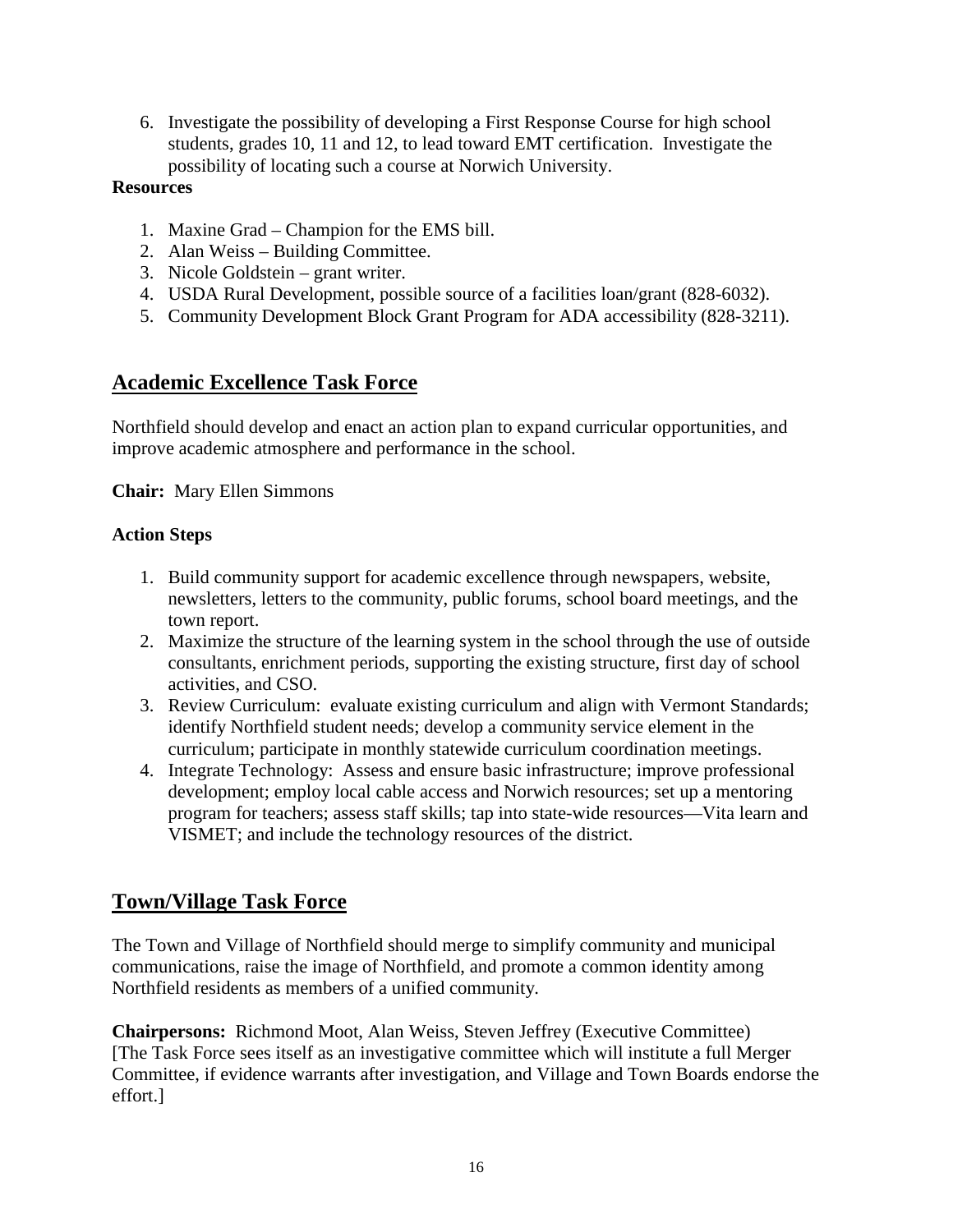6. Investigate the possibility of developing a First Response Course for high school students, grades 10, 11 and 12, to lead toward EMT certification. Investigate the possibility of locating such a course at Norwich University.

#### **Resources**

- 1. Maxine Grad Champion for the EMS bill.
- 2. Alan Weiss Building Committee.
- 3. Nicole Goldstein grant writer.
- 4. USDA Rural Development, possible source of a facilities loan/grant (828-6032).
- 5. Community Development Block Grant Program for ADA accessibility (828-3211).

#### **Academic Excellence Task Force**

Northfield should develop and enact an action plan to expand curricular opportunities, and improve academic atmosphere and performance in the school.

**Chair:** Mary Ellen Simmons

#### **Action Steps**

- 1. Build community support for academic excellence through newspapers, website, newsletters, letters to the community, public forums, school board meetings, and the town report.
- 2. Maximize the structure of the learning system in the school through the use of outside consultants, enrichment periods, supporting the existing structure, first day of school activities, and CSO.
- 3. Review Curriculum: evaluate existing curriculum and align with Vermont Standards; identify Northfield student needs; develop a community service element in the curriculum; participate in monthly statewide curriculum coordination meetings.
- 4. Integrate Technology: Assess and ensure basic infrastructure; improve professional development; employ local cable access and Norwich resources; set up a mentoring program for teachers; assess staff skills; tap into state-wide resources—Vita learn and VISMET; and include the technology resources of the district.

#### **Town/Village Task Force**

The Town and Village of Northfield should merge to simplify community and municipal communications, raise the image of Northfield, and promote a common identity among Northfield residents as members of a unified community.

**Chairpersons:** Richmond Moot, Alan Weiss, Steven Jeffrey (Executive Committee) [The Task Force sees itself as an investigative committee which will institute a full Merger Committee, if evidence warrants after investigation, and Village and Town Boards endorse the effort.]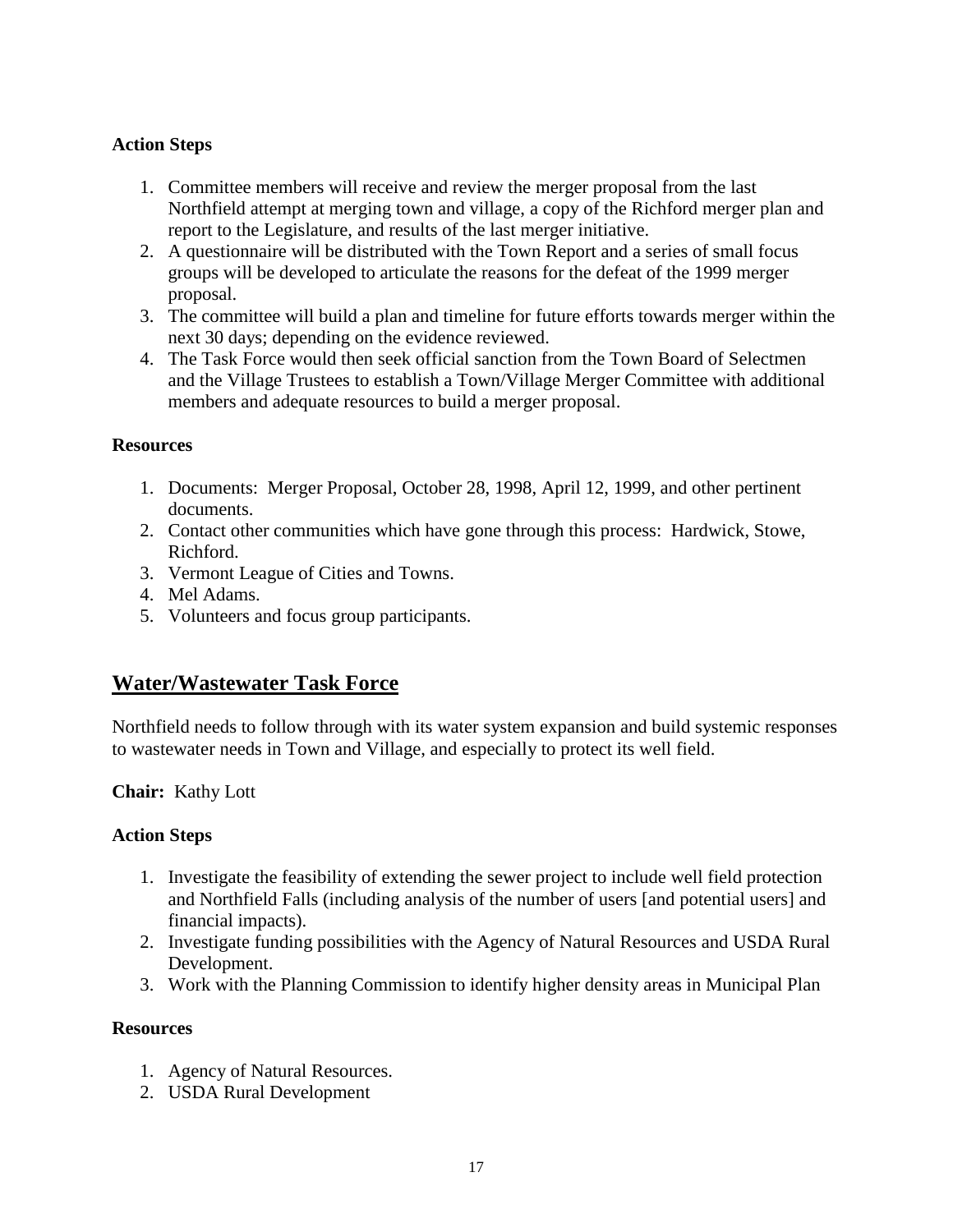#### **Action Steps**

- 1. Committee members will receive and review the merger proposal from the last Northfield attempt at merging town and village, a copy of the Richford merger plan and report to the Legislature, and results of the last merger initiative.
- 2. A questionnaire will be distributed with the Town Report and a series of small focus groups will be developed to articulate the reasons for the defeat of the 1999 merger proposal.
- 3. The committee will build a plan and timeline for future efforts towards merger within the next 30 days; depending on the evidence reviewed.
- 4. The Task Force would then seek official sanction from the Town Board of Selectmen and the Village Trustees to establish a Town/Village Merger Committee with additional members and adequate resources to build a merger proposal.

#### **Resources**

- 1. Documents: Merger Proposal, October 28, 1998, April 12, 1999, and other pertinent documents.
- 2. Contact other communities which have gone through this process: Hardwick, Stowe, Richford.
- 3. Vermont League of Cities and Towns.
- 4. Mel Adams.
- 5. Volunteers and focus group participants.

#### **Water/Wastewater Task Force**

Northfield needs to follow through with its water system expansion and build systemic responses to wastewater needs in Town and Village, and especially to protect its well field.

#### **Chair:** Kathy Lott

#### **Action Steps**

- 1. Investigate the feasibility of extending the sewer project to include well field protection and Northfield Falls (including analysis of the number of users [and potential users] and financial impacts).
- 2. Investigate funding possibilities with the Agency of Natural Resources and USDA Rural Development.
- 3. Work with the Planning Commission to identify higher density areas in Municipal Plan

#### **Resources**

- 1. Agency of Natural Resources.
- 2. USDA Rural Development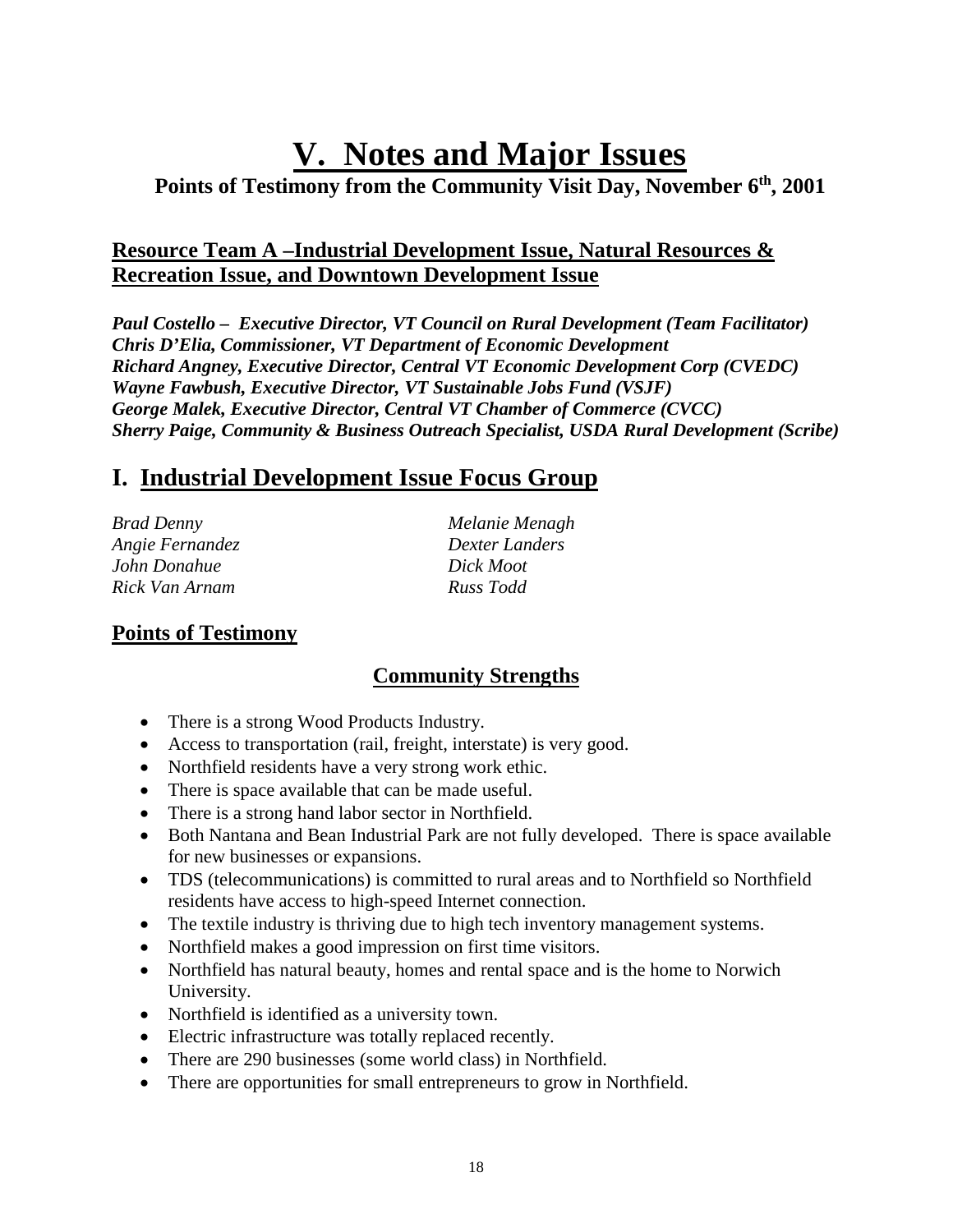# **V. Notes and Major Issues**

**Points of Testimony from the Community Visit Day, November 6th, 2001**

#### **Resource Team A –Industrial Development Issue, Natural Resources & Recreation Issue, and Downtown Development Issue**

*Paul Costello – Executive Director, VT Council on Rural Development (Team Facilitator) Chris D'Elia, Commissioner, VT Department of Economic Development Richard Angney, Executive Director, Central VT Economic Development Corp (CVEDC) Wayne Fawbush, Executive Director, VT Sustainable Jobs Fund (VSJF) George Malek, Executive Director, Central VT Chamber of Commerce (CVCC) Sherry Paige, Community & Business Outreach Specialist, USDA Rural Development (Scribe)*

# **I. Industrial Development Issue Focus Group**

*Brad Denny Melanie Menagh Angie Fernandez Dexter Landers John Donahue Dick Moot Rick Van Arnam Russ Todd*

#### **Points of Testimony**

#### **Community Strengths**

- There is a strong Wood Products Industry.
- Access to transportation (rail, freight, interstate) is very good.
- Northfield residents have a very strong work ethic.
- There is space available that can be made useful.
- There is a strong hand labor sector in Northfield.
- Both Nantana and Bean Industrial Park are not fully developed. There is space available for new businesses or expansions.
- TDS (telecommunications) is committed to rural areas and to Northfield so Northfield residents have access to high-speed Internet connection.
- The textile industry is thriving due to high tech inventory management systems.
- Northfield makes a good impression on first time visitors.
- Northfield has natural beauty, homes and rental space and is the home to Norwich University.
- Northfield is identified as a university town.
- Electric infrastructure was totally replaced recently.
- There are 290 businesses (some world class) in Northfield.
- There are opportunities for small entrepreneurs to grow in Northfield.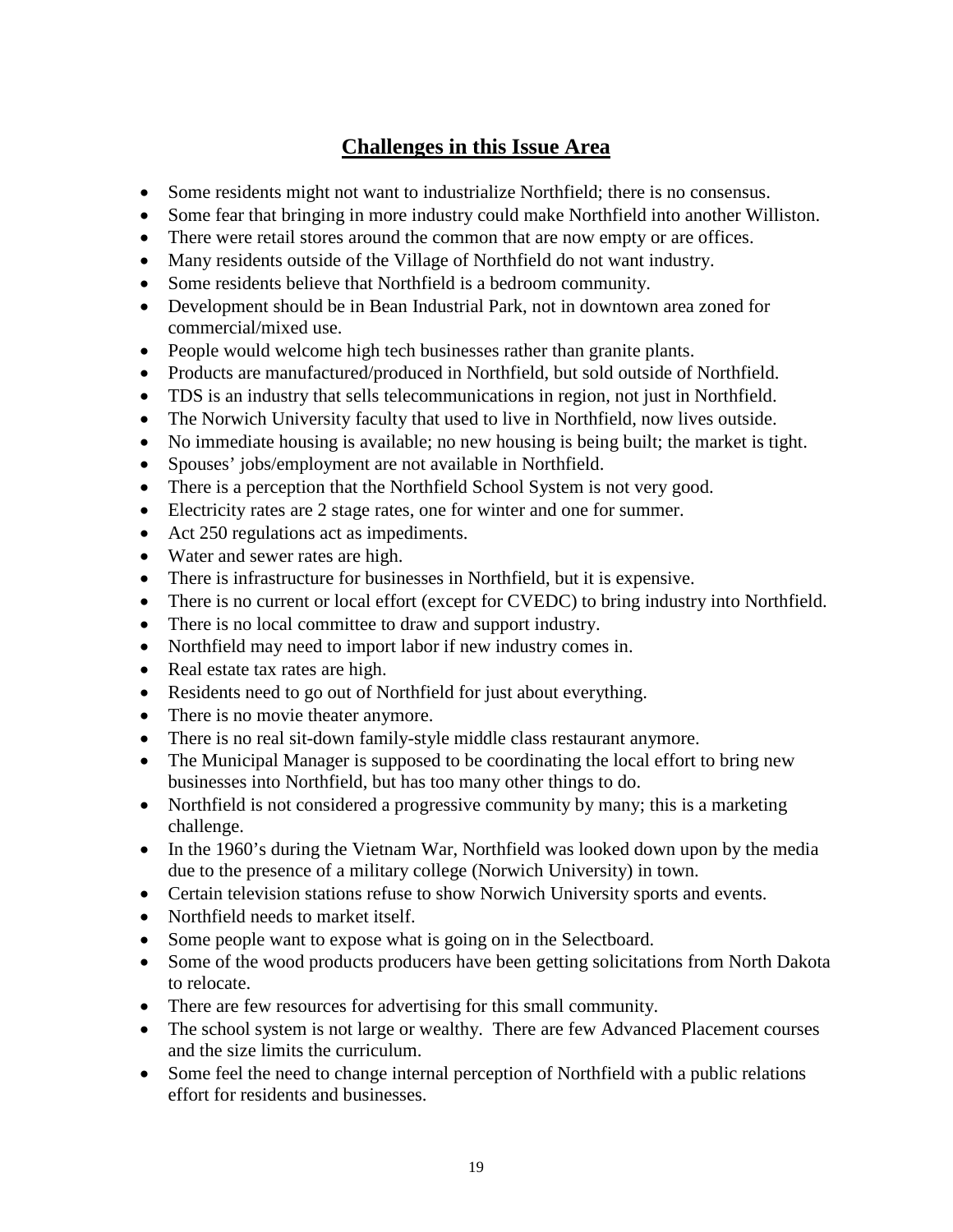- Some residents might not want to industrialize Northfield; there is no consensus.
- Some fear that bringing in more industry could make Northfield into another Williston.
- There were retail stores around the common that are now empty or are offices.
- Many residents outside of the Village of Northfield do not want industry.
- Some residents believe that Northfield is a bedroom community.
- Development should be in Bean Industrial Park, not in downtown area zoned for commercial/mixed use.
- People would welcome high tech businesses rather than granite plants.
- Products are manufactured/produced in Northfield, but sold outside of Northfield.
- TDS is an industry that sells telecommunications in region, not just in Northfield.
- The Norwich University faculty that used to live in Northfield, now lives outside.
- No immediate housing is available; no new housing is being built; the market is tight.
- Spouses' jobs/employment are not available in Northfield.
- There is a perception that the Northfield School System is not very good.
- Electricity rates are 2 stage rates, one for winter and one for summer.
- Act 250 regulations act as impediments.
- Water and sewer rates are high.
- There is infrastructure for businesses in Northfield, but it is expensive.
- There is no current or local effort (except for CVEDC) to bring industry into Northfield.
- There is no local committee to draw and support industry.
- Northfield may need to import labor if new industry comes in.
- Real estate tax rates are high.
- Residents need to go out of Northfield for just about everything.
- There is no movie theater anymore.
- There is no real sit-down family-style middle class restaurant anymore.
- The Municipal Manager is supposed to be coordinating the local effort to bring new businesses into Northfield, but has too many other things to do.
- Northfield is not considered a progressive community by many; this is a marketing challenge.
- In the 1960's during the Vietnam War, Northfield was looked down upon by the media due to the presence of a military college (Norwich University) in town.
- Certain television stations refuse to show Norwich University sports and events.
- Northfield needs to market itself.
- Some people want to expose what is going on in the Selectboard.
- Some of the wood products producers have been getting solicitations from North Dakota to relocate.
- There are few resources for advertising for this small community.
- The school system is not large or wealthy. There are few Advanced Placement courses and the size limits the curriculum.
- Some feel the need to change internal perception of Northfield with a public relations effort for residents and businesses.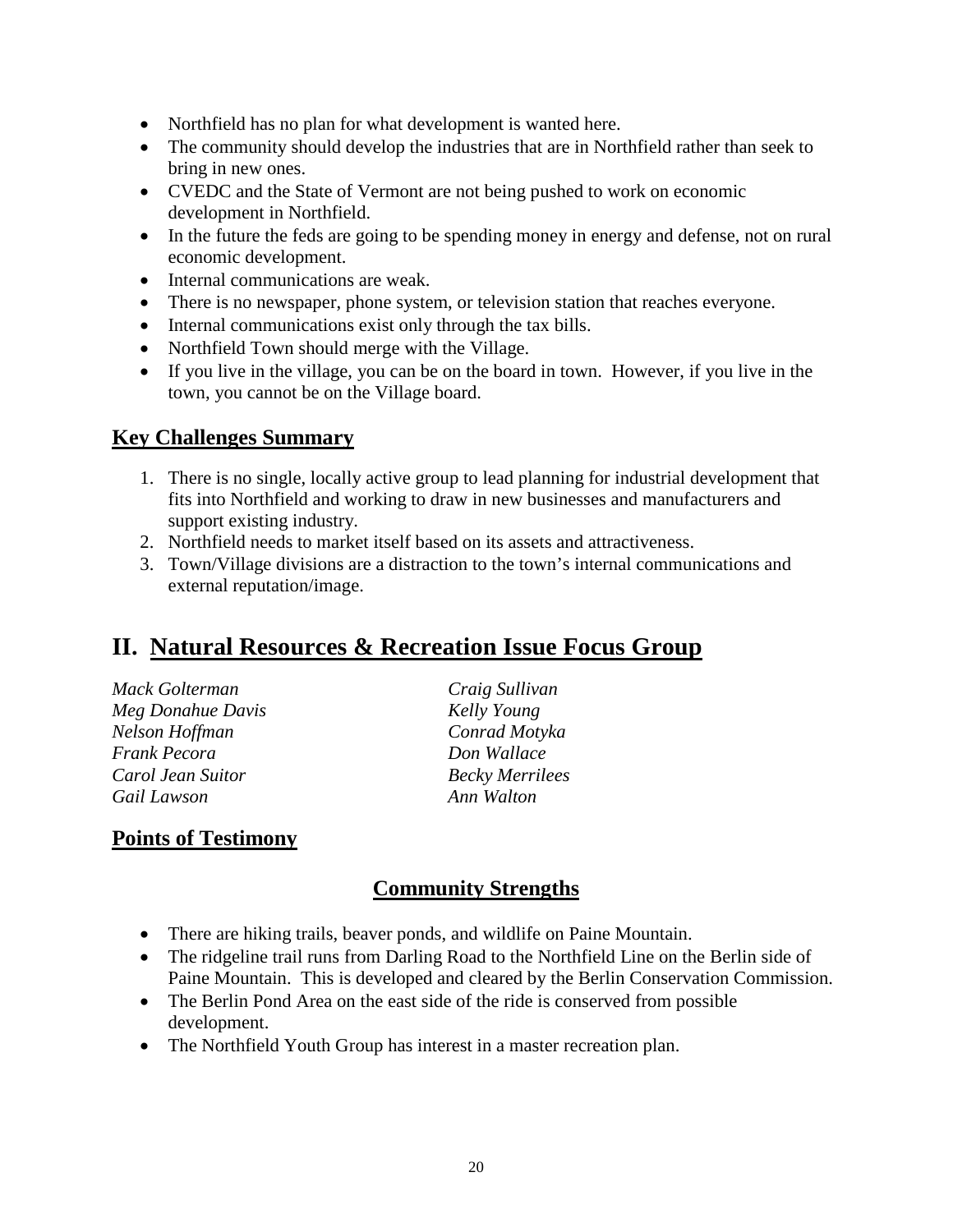- Northfield has no plan for what development is wanted here.
- The community should develop the industries that are in Northfield rather than seek to bring in new ones.
- CVEDC and the State of Vermont are not being pushed to work on economic development in Northfield.
- In the future the feds are going to be spending money in energy and defense, not on rural economic development.
- Internal communications are weak.
- There is no newspaper, phone system, or television station that reaches everyone.
- Internal communications exist only through the tax bills.
- Northfield Town should merge with the Village.
- If you live in the village, you can be on the board in town. However, if you live in the town, you cannot be on the Village board.

#### **Key Challenges Summary**

- 1. There is no single, locally active group to lead planning for industrial development that fits into Northfield and working to draw in new businesses and manufacturers and support existing industry.
- 2. Northfield needs to market itself based on its assets and attractiveness.
- 3. Town/Village divisions are a distraction to the town's internal communications and external reputation/image.

### **II. Natural Resources & Recreation Issue Focus Group**

| <b>Mack Golterman</b> |
|-----------------------|
| Meg Donahue Davi.     |
| Nelson Hoffman        |
| <b>Frank Pecora</b>   |
| Carol Jean Suitor     |
| Gail Lawson           |

*Mack Golterman Craig Sullivan Meg Donahue Davis Kelly Young Nelson Hoffman Conrad Motyka Don Wallace Carol Jean Suitor Becky Merrilees Gail Lawson Ann Walton*

#### **Points of Testimony**

#### **Community Strengths**

- There are hiking trails, beaver ponds, and wildlife on Paine Mountain.
- The ridgeline trail runs from Darling Road to the Northfield Line on the Berlin side of Paine Mountain. This is developed and cleared by the Berlin Conservation Commission.
- The Berlin Pond Area on the east side of the ride is conserved from possible development.
- The Northfield Youth Group has interest in a master recreation plan.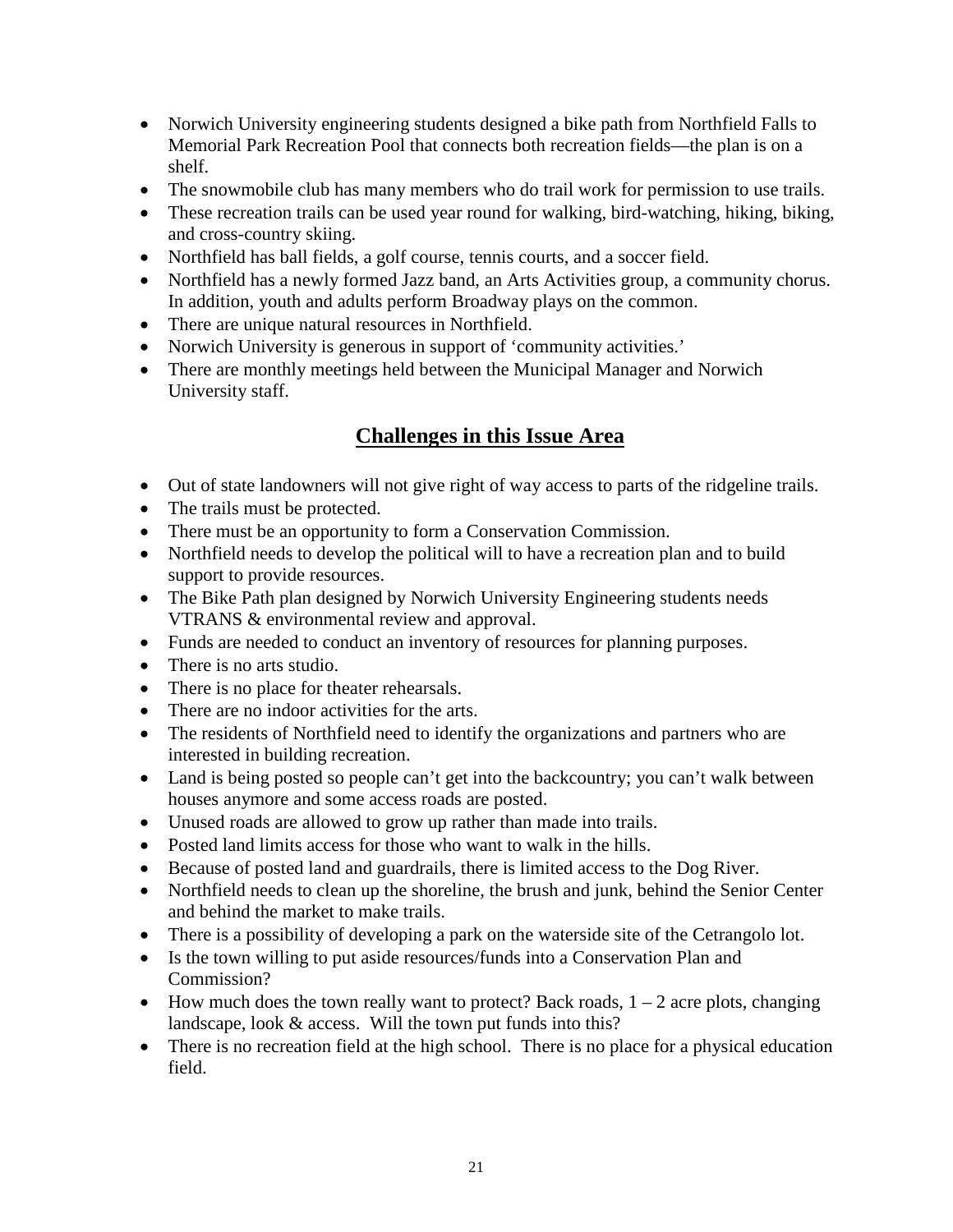- Norwich University engineering students designed a bike path from Northfield Falls to Memorial Park Recreation Pool that connects both recreation fields—the plan is on a shelf.
- The snowmobile club has many members who do trail work for permission to use trails.
- These recreation trails can be used year round for walking, bird-watching, hiking, biking, and cross-country skiing.
- Northfield has ball fields, a golf course, tennis courts, and a soccer field.
- Northfield has a newly formed Jazz band, an Arts Activities group, a community chorus. In addition, youth and adults perform Broadway plays on the common.
- There are unique natural resources in Northfield.
- Norwich University is generous in support of 'community activities.'
- There are monthly meetings held between the Municipal Manager and Norwich University staff.

- Out of state landowners will not give right of way access to parts of the ridgeline trails.
- The trails must be protected.
- There must be an opportunity to form a Conservation Commission.
- Northfield needs to develop the political will to have a recreation plan and to build support to provide resources.
- The Bike Path plan designed by Norwich University Engineering students needs VTRANS & environmental review and approval.
- Funds are needed to conduct an inventory of resources for planning purposes.
- There is no arts studio.
- There is no place for theater rehearsals.
- There are no indoor activities for the arts.
- The residents of Northfield need to identify the organizations and partners who are interested in building recreation.
- Land is being posted so people can't get into the backcountry; you can't walk between houses anymore and some access roads are posted.
- Unused roads are allowed to grow up rather than made into trails.
- Posted land limits access for those who want to walk in the hills.
- Because of posted land and guardrails, there is limited access to the Dog River.
- Northfield needs to clean up the shoreline, the brush and junk, behind the Senior Center and behind the market to make trails.
- There is a possibility of developing a park on the waterside site of the Cetrangolo lot.
- Is the town willing to put aside resources/funds into a Conservation Plan and Commission?
- How much does the town really want to protect? Back roads,  $1 2$  acre plots, changing landscape, look & access. Will the town put funds into this?
- There is no recreation field at the high school. There is no place for a physical education field.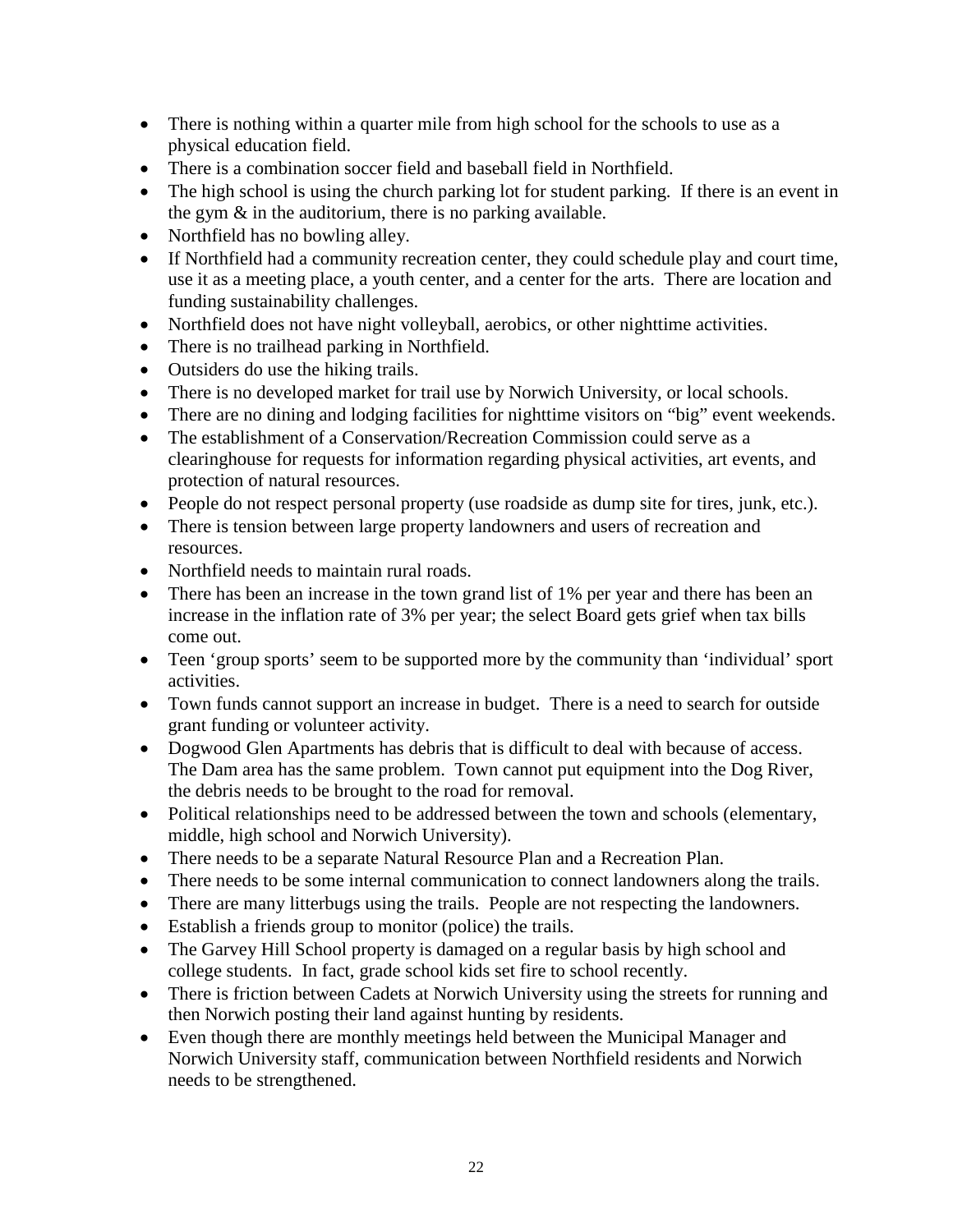- There is nothing within a quarter mile from high school for the schools to use as a physical education field.
- There is a combination soccer field and baseball field in Northfield.
- The high school is using the church parking lot for student parking. If there is an event in the gym & in the auditorium, there is no parking available.
- Northfield has no bowling alley.
- If Northfield had a community recreation center, they could schedule play and court time, use it as a meeting place, a youth center, and a center for the arts. There are location and funding sustainability challenges.
- Northfield does not have night volleyball, aerobics, or other nighttime activities.
- There is no trailhead parking in Northfield.
- Outsiders do use the hiking trails.
- There is no developed market for trail use by Norwich University, or local schools.
- There are no dining and lodging facilities for nighttime visitors on "big" event weekends.
- The establishment of a Conservation/Recreation Commission could serve as a clearinghouse for requests for information regarding physical activities, art events, and protection of natural resources.
- People do not respect personal property (use roadside as dump site for tires, junk, etc.).
- There is tension between large property landowners and users of recreation and resources.
- Northfield needs to maintain rural roads.
- There has been an increase in the town grand list of 1% per year and there has been an increase in the inflation rate of 3% per year; the select Board gets grief when tax bills come out.
- Teen 'group sports' seem to be supported more by the community than 'individual' sport activities.
- Town funds cannot support an increase in budget. There is a need to search for outside grant funding or volunteer activity.
- Dogwood Glen Apartments has debris that is difficult to deal with because of access. The Dam area has the same problem. Town cannot put equipment into the Dog River, the debris needs to be brought to the road for removal.
- Political relationships need to be addressed between the town and schools (elementary, middle, high school and Norwich University).
- There needs to be a separate Natural Resource Plan and a Recreation Plan.
- There needs to be some internal communication to connect landowners along the trails.
- There are many litterbugs using the trails. People are not respecting the landowners.
- Establish a friends group to monitor (police) the trails.
- The Garvey Hill School property is damaged on a regular basis by high school and college students. In fact, grade school kids set fire to school recently.
- There is friction between Cadets at Norwich University using the streets for running and then Norwich posting their land against hunting by residents.
- Even though there are monthly meetings held between the Municipal Manager and Norwich University staff, communication between Northfield residents and Norwich needs to be strengthened.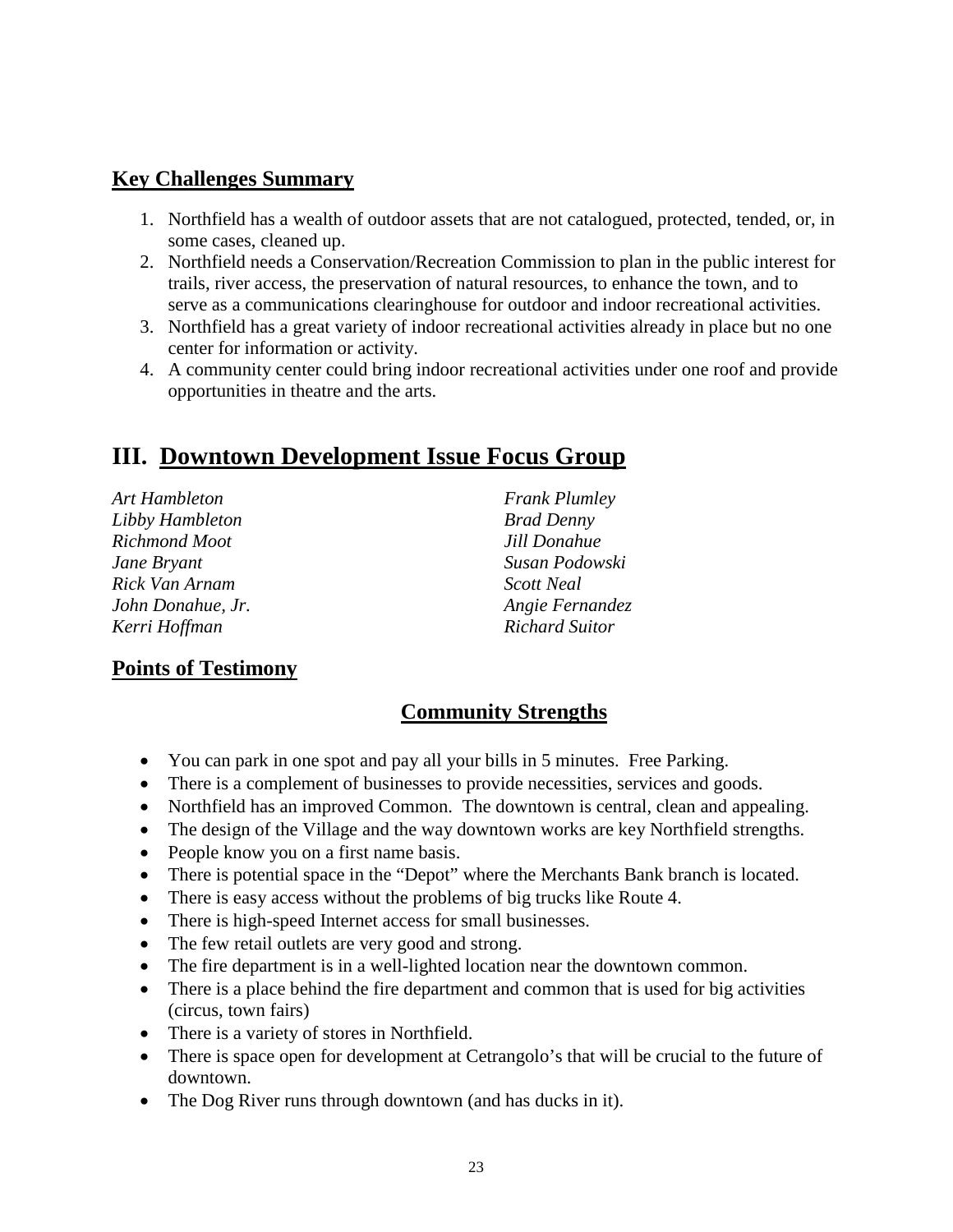#### **Key Challenges Summary**

- 1. Northfield has a wealth of outdoor assets that are not catalogued, protected, tended, or, in some cases, cleaned up.
- 2. Northfield needs a Conservation/Recreation Commission to plan in the public interest for trails, river access, the preservation of natural resources, to enhance the town, and to serve as a communications clearinghouse for outdoor and indoor recreational activities.
- 3. Northfield has a great variety of indoor recreational activities already in place but no one center for information or activity.
- 4. A community center could bring indoor recreational activities under one roof and provide opportunities in theatre and the arts.

# **III. Downtown Development Issue Focus Group**

| <b>Frank Plumley</b>  |
|-----------------------|
| <b>Brad Denny</b>     |
| Jill Donahue          |
| Susan Podowski        |
| <b>Scott Neal</b>     |
| Angie Fernandez       |
| <b>Richard Suitor</b> |
|                       |

#### **Points of Testimony**

#### **Community Strengths**

- You can park in one spot and pay all your bills in 5 minutes. Free Parking.
- There is a complement of businesses to provide necessities, services and goods.
- Northfield has an improved Common. The downtown is central, clean and appealing.
- The design of the Village and the way downtown works are key Northfield strengths.
- People know you on a first name basis.
- There is potential space in the "Depot" where the Merchants Bank branch is located.
- There is easy access without the problems of big trucks like Route 4.
- There is high-speed Internet access for small businesses.
- The few retail outlets are very good and strong.
- The fire department is in a well-lighted location near the downtown common.
- There is a place behind the fire department and common that is used for big activities (circus, town fairs)
- There is a variety of stores in Northfield.
- There is space open for development at Cetrangolo's that will be crucial to the future of downtown.
- The Dog River runs through downtown (and has ducks in it).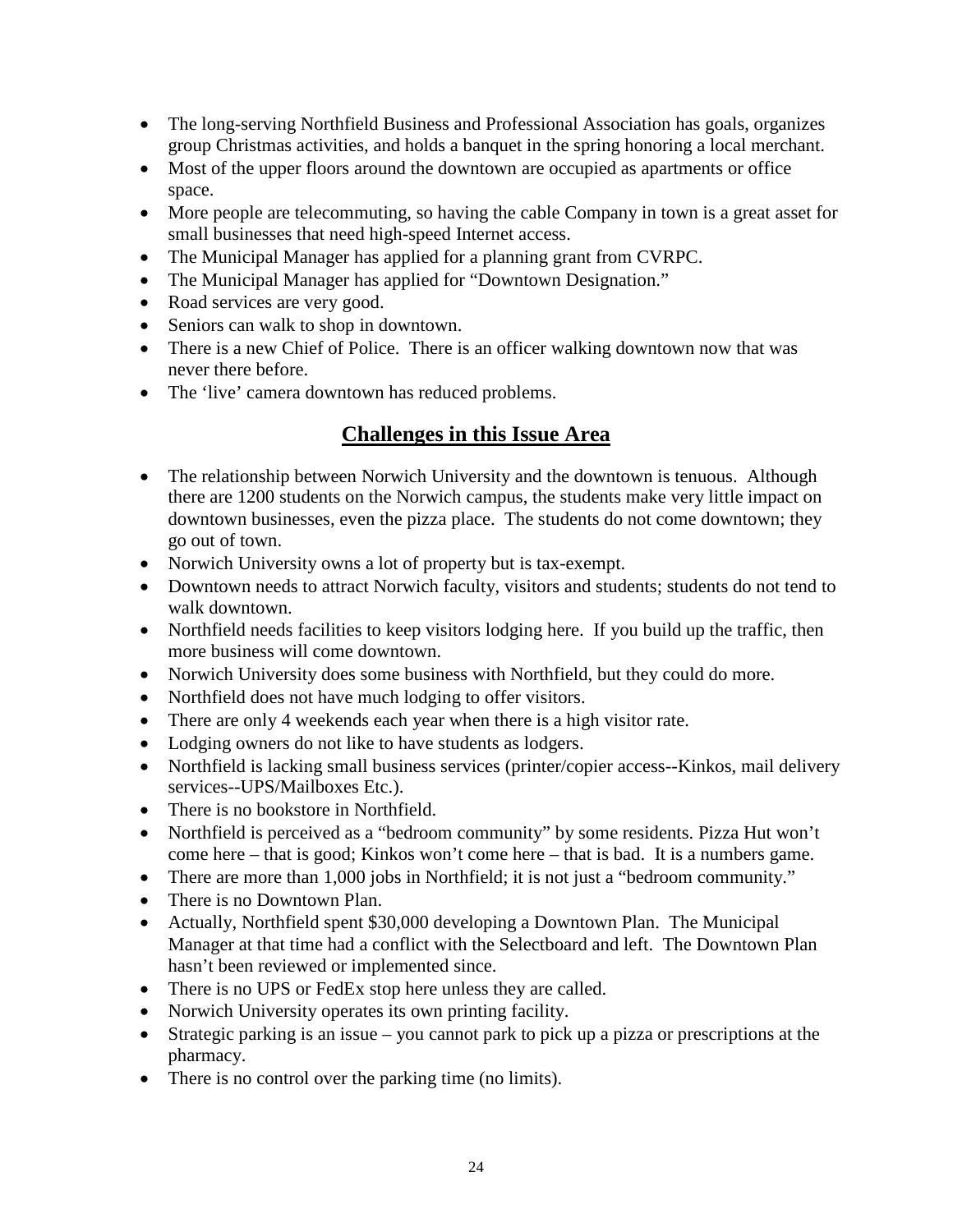- The long-serving Northfield Business and Professional Association has goals, organizes group Christmas activities, and holds a banquet in the spring honoring a local merchant.
- Most of the upper floors around the downtown are occupied as apartments or office space.
- More people are telecommuting, so having the cable Company in town is a great asset for small businesses that need high-speed Internet access.
- The Municipal Manager has applied for a planning grant from CVRPC.
- The Municipal Manager has applied for "Downtown Designation."
- Road services are very good.
- Seniors can walk to shop in downtown.
- There is a new Chief of Police. There is an officer walking downtown now that was never there before.
- The 'live' camera downtown has reduced problems.

- The relationship between Norwich University and the downtown is tenuous. Although there are 1200 students on the Norwich campus, the students make very little impact on downtown businesses, even the pizza place. The students do not come downtown; they go out of town.
- Norwich University owns a lot of property but is tax-exempt.
- Downtown needs to attract Norwich faculty, visitors and students; students do not tend to walk downtown.
- Northfield needs facilities to keep visitors lodging here. If you build up the traffic, then more business will come downtown.
- Norwich University does some business with Northfield, but they could do more.
- Northfield does not have much lodging to offer visitors.
- There are only 4 weekends each year when there is a high visitor rate.
- Lodging owners do not like to have students as lodgers.
- Northfield is lacking small business services (printer/copier access--Kinkos, mail delivery services--UPS/Mailboxes Etc.).
- There is no bookstore in Northfield.
- Northfield is perceived as a "bedroom community" by some residents. Pizza Hut won't come here – that is good; Kinkos won't come here – that is bad. It is a numbers game.
- There are more than 1,000 jobs in Northfield; it is not just a "bedroom community."
- There is no Downtown Plan.
- Actually, Northfield spent \$30,000 developing a Downtown Plan. The Municipal Manager at that time had a conflict with the Selectboard and left. The Downtown Plan hasn't been reviewed or implemented since.
- There is no UPS or FedEx stop here unless they are called.
- Norwich University operates its own printing facility.
- Strategic parking is an issue you cannot park to pick up a pizza or prescriptions at the pharmacy.
- There is no control over the parking time (no limits).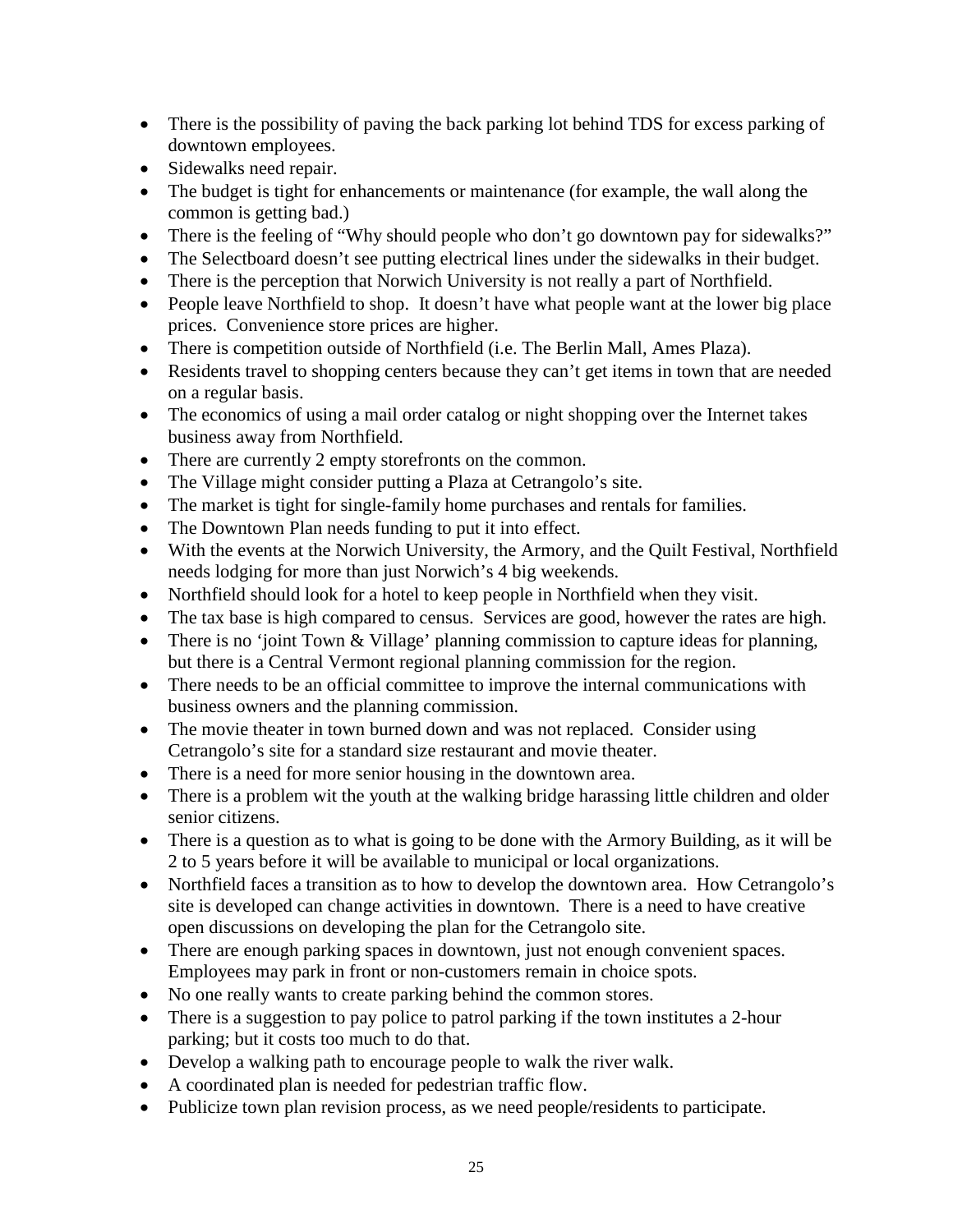- There is the possibility of paving the back parking lot behind TDS for excess parking of downtown employees.
- Sidewalks need repair.
- The budget is tight for enhancements or maintenance (for example, the wall along the common is getting bad.)
- There is the feeling of "Why should people who don't go downtown pay for sidewalks?"
- The Selectboard doesn't see putting electrical lines under the sidewalks in their budget.
- There is the perception that Norwich University is not really a part of Northfield.
- People leave Northfield to shop. It doesn't have what people want at the lower big place prices. Convenience store prices are higher.
- There is competition outside of Northfield (i.e. The Berlin Mall, Ames Plaza).
- Residents travel to shopping centers because they can't get items in town that are needed on a regular basis.
- The economics of using a mail order catalog or night shopping over the Internet takes business away from Northfield.
- There are currently 2 empty storefronts on the common.
- The Village might consider putting a Plaza at Cetrangolo's site.
- The market is tight for single-family home purchases and rentals for families.
- The Downtown Plan needs funding to put it into effect.
- With the events at the Norwich University, the Armory, and the Quilt Festival, Northfield needs lodging for more than just Norwich's 4 big weekends.
- Northfield should look for a hotel to keep people in Northfield when they visit.
- The tax base is high compared to census. Services are good, however the rates are high.
- There is no 'joint Town & Village' planning commission to capture ideas for planning, but there is a Central Vermont regional planning commission for the region.
- There needs to be an official committee to improve the internal communications with business owners and the planning commission.
- The movie theater in town burned down and was not replaced. Consider using Cetrangolo's site for a standard size restaurant and movie theater.
- There is a need for more senior housing in the downtown area.
- There is a problem wit the youth at the walking bridge harassing little children and older senior citizens.
- There is a question as to what is going to be done with the Armory Building, as it will be 2 to 5 years before it will be available to municipal or local organizations.
- Northfield faces a transition as to how to develop the downtown area. How Cetrangolo's site is developed can change activities in downtown. There is a need to have creative open discussions on developing the plan for the Cetrangolo site.
- There are enough parking spaces in downtown, just not enough convenient spaces. Employees may park in front or non-customers remain in choice spots.
- No one really wants to create parking behind the common stores.
- There is a suggestion to pay police to patrol parking if the town institutes a 2-hour parking; but it costs too much to do that.
- Develop a walking path to encourage people to walk the river walk.
- A coordinated plan is needed for pedestrian traffic flow.
- Publicize town plan revision process, as we need people/residents to participate.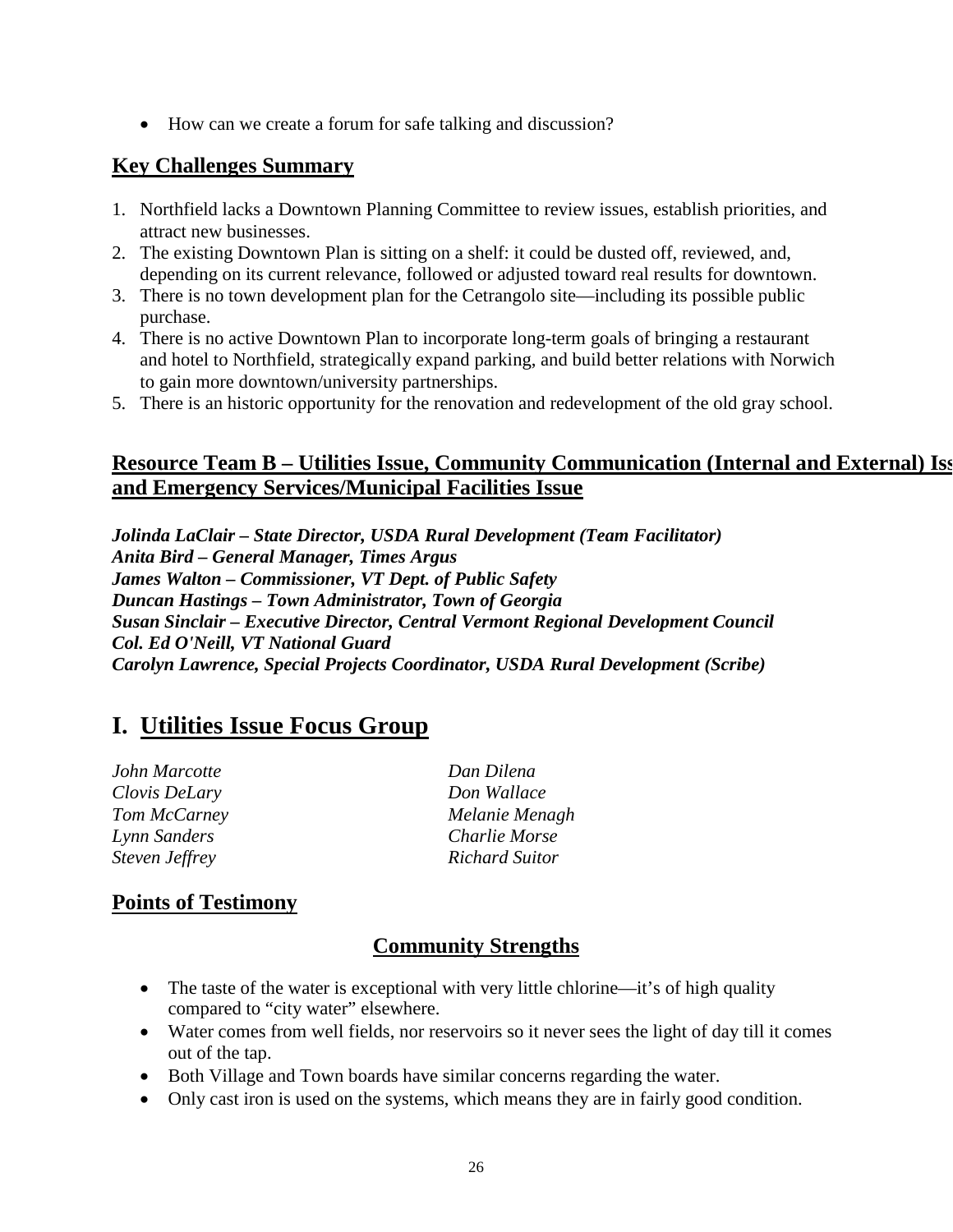• How can we create a forum for safe talking and discussion?

#### **Key Challenges Summary**

- 1. Northfield lacks a Downtown Planning Committee to review issues, establish priorities, and attract new businesses.
- 2. The existing Downtown Plan is sitting on a shelf: it could be dusted off, reviewed, and, depending on its current relevance, followed or adjusted toward real results for downtown.
- 3. There is no town development plan for the Cetrangolo site—including its possible public purchase.
- 4. There is no active Downtown Plan to incorporate long-term goals of bringing a restaurant and hotel to Northfield, strategically expand parking, and build better relations with Norwich to gain more downtown/university partnerships.
- 5. There is an historic opportunity for the renovation and redevelopment of the old gray school.

#### **Resource Team B – Utilities Issue, Community Communication (Internal and External) Iss and Emergency Services/Municipal Facilities Issue**

*Jolinda LaClair – State Director, USDA Rural Development (Team Facilitator) Anita Bird – General Manager, Times Argus James Walton – Commissioner, VT Dept. of Public Safety Duncan Hastings – Town Administrator, Town of Georgia Susan Sinclair – Executive Director, Central Vermont Regional Development Council Col. Ed O'Neill, VT National Guard Carolyn Lawrence, Special Projects Coordinator, USDA Rural Development (Scribe)*

# **I. Utilities Issue Focus Group**

*John Marcotte Dan Dilena Clovis DeLary Don Wallace Lynn Sanders Charlie Morse Steven Jeffrey Richard Suitor*

*Tom McCarney Melanie Menagh*

#### **Points of Testimony**

#### **Community Strengths**

- The taste of the water is exceptional with very little chlorine—it's of high quality compared to "city water" elsewhere.
- Water comes from well fields, nor reservoirs so it never sees the light of day till it comes out of the tap.
- Both Village and Town boards have similar concerns regarding the water.
- Only cast iron is used on the systems, which means they are in fairly good condition.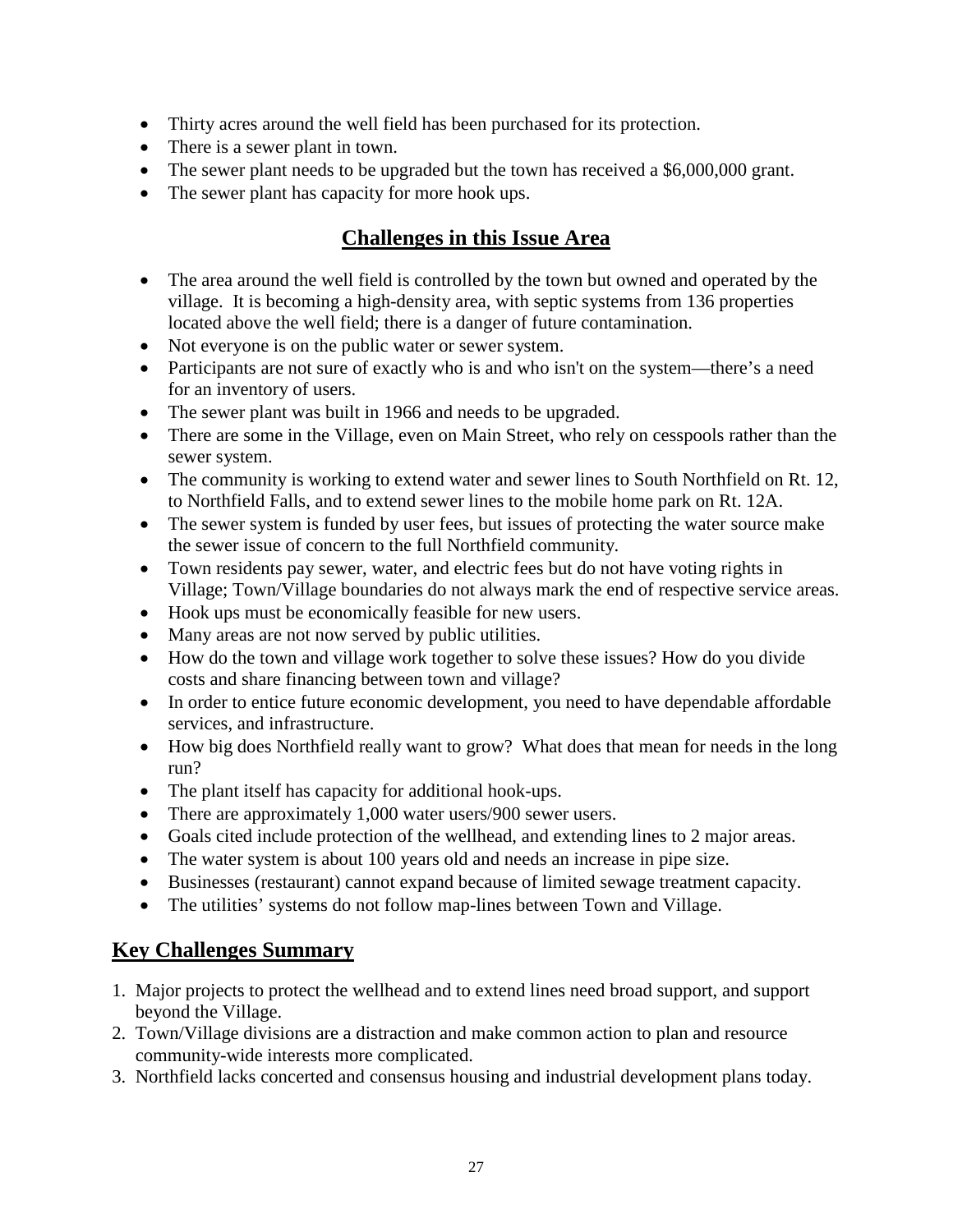- Thirty acres around the well field has been purchased for its protection.
- There is a sewer plant in town.
- The sewer plant needs to be upgraded but the town has received a \$6,000,000 grant.
- The sewer plant has capacity for more hook ups.

#### **Challenges in this Issue Area**

- The area around the well field is controlled by the town but owned and operated by the village. It is becoming a high-density area, with septic systems from 136 properties located above the well field; there is a danger of future contamination.
- Not everyone is on the public water or sewer system.
- Participants are not sure of exactly who is and who isn't on the system—there's a need for an inventory of users.
- The sewer plant was built in 1966 and needs to be upgraded.
- There are some in the Village, even on Main Street, who rely on cesspools rather than the sewer system.
- The community is working to extend water and sewer lines to South Northfield on Rt. 12, to Northfield Falls, and to extend sewer lines to the mobile home park on Rt. 12A.
- The sewer system is funded by user fees, but issues of protecting the water source make the sewer issue of concern to the full Northfield community.
- Town residents pay sewer, water, and electric fees but do not have voting rights in Village; Town/Village boundaries do not always mark the end of respective service areas.
- Hook ups must be economically feasible for new users.
- Many areas are not now served by public utilities.
- How do the town and village work together to solve these issues? How do you divide costs and share financing between town and village?
- In order to entice future economic development, you need to have dependable affordable services, and infrastructure.
- How big does Northfield really want to grow? What does that mean for needs in the long run?
- The plant itself has capacity for additional hook-ups.
- There are approximately 1,000 water users/900 sewer users.
- Goals cited include protection of the wellhead, and extending lines to 2 major areas.
- The water system is about 100 years old and needs an increase in pipe size.
- Businesses (restaurant) cannot expand because of limited sewage treatment capacity.
- The utilities' systems do not follow map-lines between Town and Village.

#### **Key Challenges Summary**

- 1. Major projects to protect the wellhead and to extend lines need broad support, and support beyond the Village.
- 2. Town/Village divisions are a distraction and make common action to plan and resource community-wide interests more complicated.
- 3. Northfield lacks concerted and consensus housing and industrial development plans today.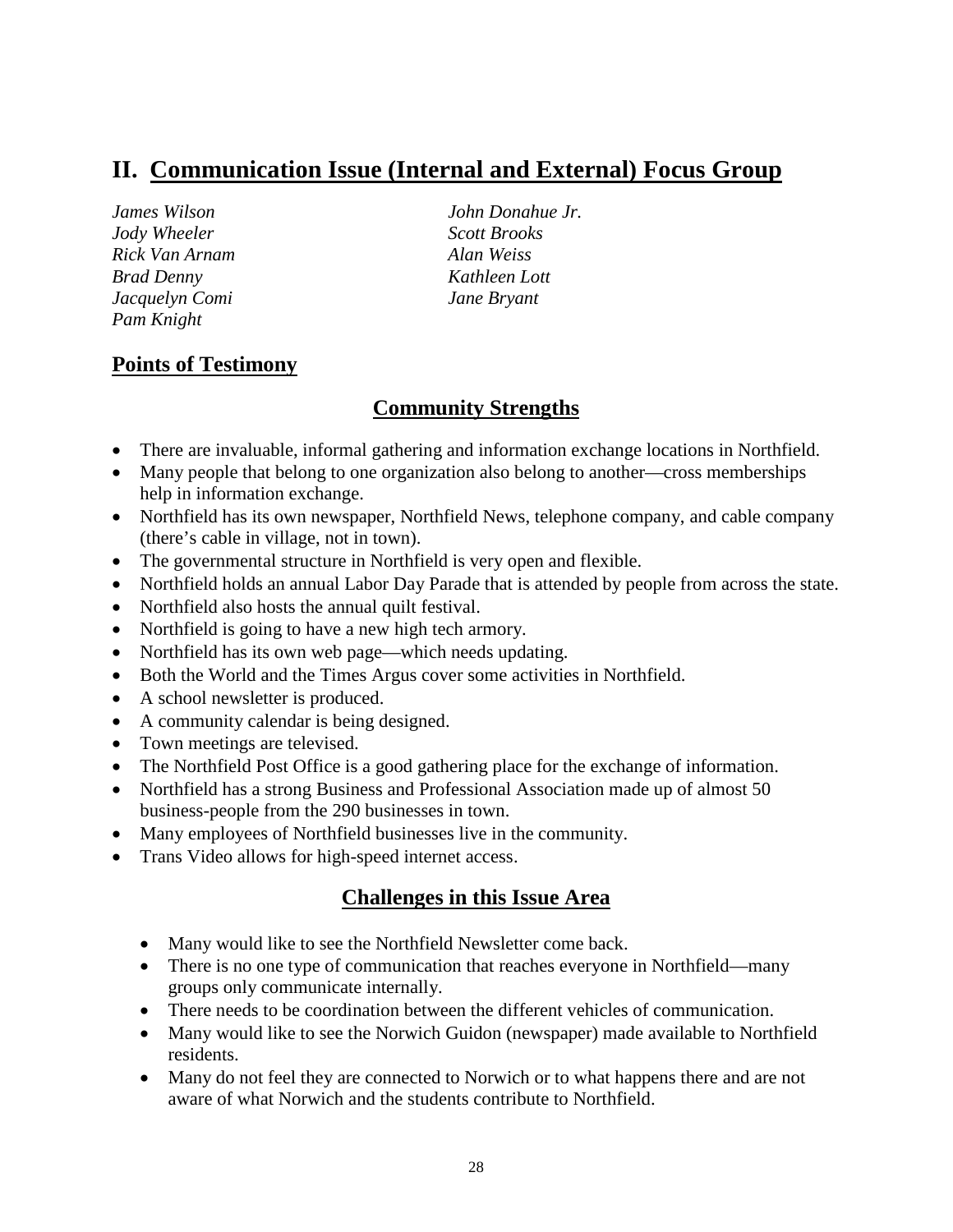### **II. Communication Issue (Internal and External) Focus Group**

*Jody Wheeler Scott Brooks Rick Van Arnam Alan Weiss Brad Denny Kathleen Lott Jacquelyn Comi Jane Bryant Pam Knight*

*James Wilson John Donahue Jr.*

#### **Points of Testimony**

#### **Community Strengths**

- There are invaluable, informal gathering and information exchange locations in Northfield.
- Many people that belong to one organization also belong to another—cross memberships help in information exchange.
- Northfield has its own newspaper, Northfield News, telephone company, and cable company (there's cable in village, not in town).
- The governmental structure in Northfield is very open and flexible.
- Northfield holds an annual Labor Day Parade that is attended by people from across the state.
- Northfield also hosts the annual quilt festival.
- Northfield is going to have a new high tech armory.
- Northfield has its own web page—which needs updating.
- Both the World and the Times Argus cover some activities in Northfield.
- A school newsletter is produced.
- A community calendar is being designed.
- Town meetings are televised.
- The Northfield Post Office is a good gathering place for the exchange of information.
- Northfield has a strong Business and Professional Association made up of almost 50 business-people from the 290 businesses in town.
- Many employees of Northfield businesses live in the community.
- Trans Video allows for high-speed internet access.

- Many would like to see the Northfield Newsletter come back.
- There is no one type of communication that reaches everyone in Northfield—many groups only communicate internally.
- There needs to be coordination between the different vehicles of communication.
- Many would like to see the Norwich Guidon (newspaper) made available to Northfield residents.
- Many do not feel they are connected to Norwich or to what happens there and are not aware of what Norwich and the students contribute to Northfield.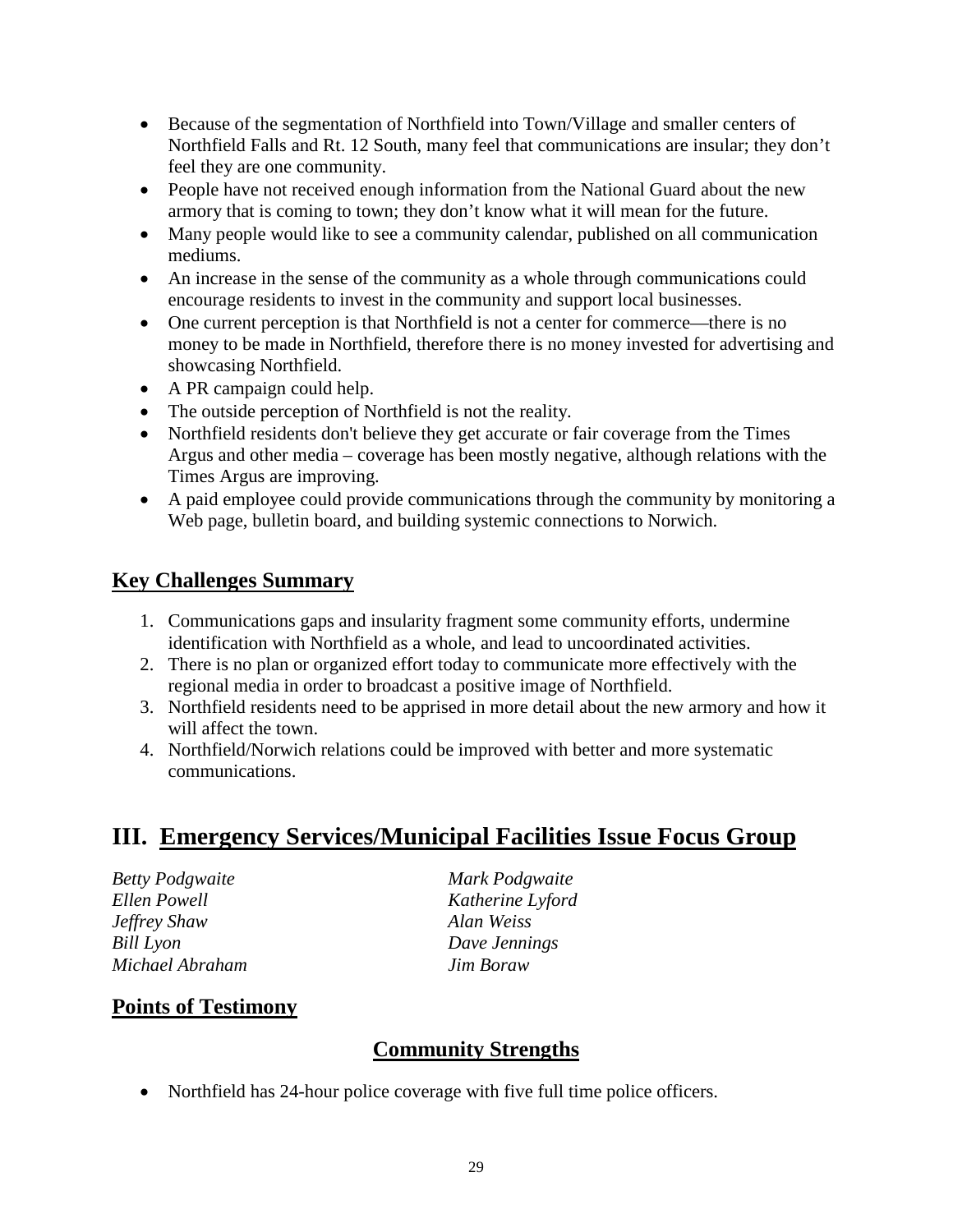- Because of the segmentation of Northfield into Town/Village and smaller centers of Northfield Falls and Rt. 12 South, many feel that communications are insular; they don't feel they are one community.
- People have not received enough information from the National Guard about the new armory that is coming to town; they don't know what it will mean for the future.
- Many people would like to see a community calendar, published on all communication mediums.
- An increase in the sense of the community as a whole through communications could encourage residents to invest in the community and support local businesses.
- One current perception is that Northfield is not a center for commerce—there is no money to be made in Northfield, therefore there is no money invested for advertising and showcasing Northfield.
- A PR campaign could help.
- The outside perception of Northfield is not the reality.
- Northfield residents don't believe they get accurate or fair coverage from the Times Argus and other media – coverage has been mostly negative, although relations with the Times Argus are improving.
- A paid employee could provide communications through the community by monitoring a Web page, bulletin board, and building systemic connections to Norwich.

#### **Key Challenges Summary**

- 1. Communications gaps and insularity fragment some community efforts, undermine identification with Northfield as a whole, and lead to uncoordinated activities.
- 2. There is no plan or organized effort today to communicate more effectively with the regional media in order to broadcast a positive image of Northfield.
- 3. Northfield residents need to be apprised in more detail about the new armory and how it will affect the town.
- 4. Northfield/Norwich relations could be improved with better and more systematic communications.

### **III. Emergency Services/Municipal Facilities Issue Focus Group**

*Betty Podgwaite Mark Podgwaite Ellen Powell Katherine Lyford Jeffrey Shaw Alan Weiss Bill Lyon Dave Jennings Michael Abraham Jim Boraw*

#### **Points of Testimony**

#### **Community Strengths**

• Northfield has 24-hour police coverage with five full time police officers.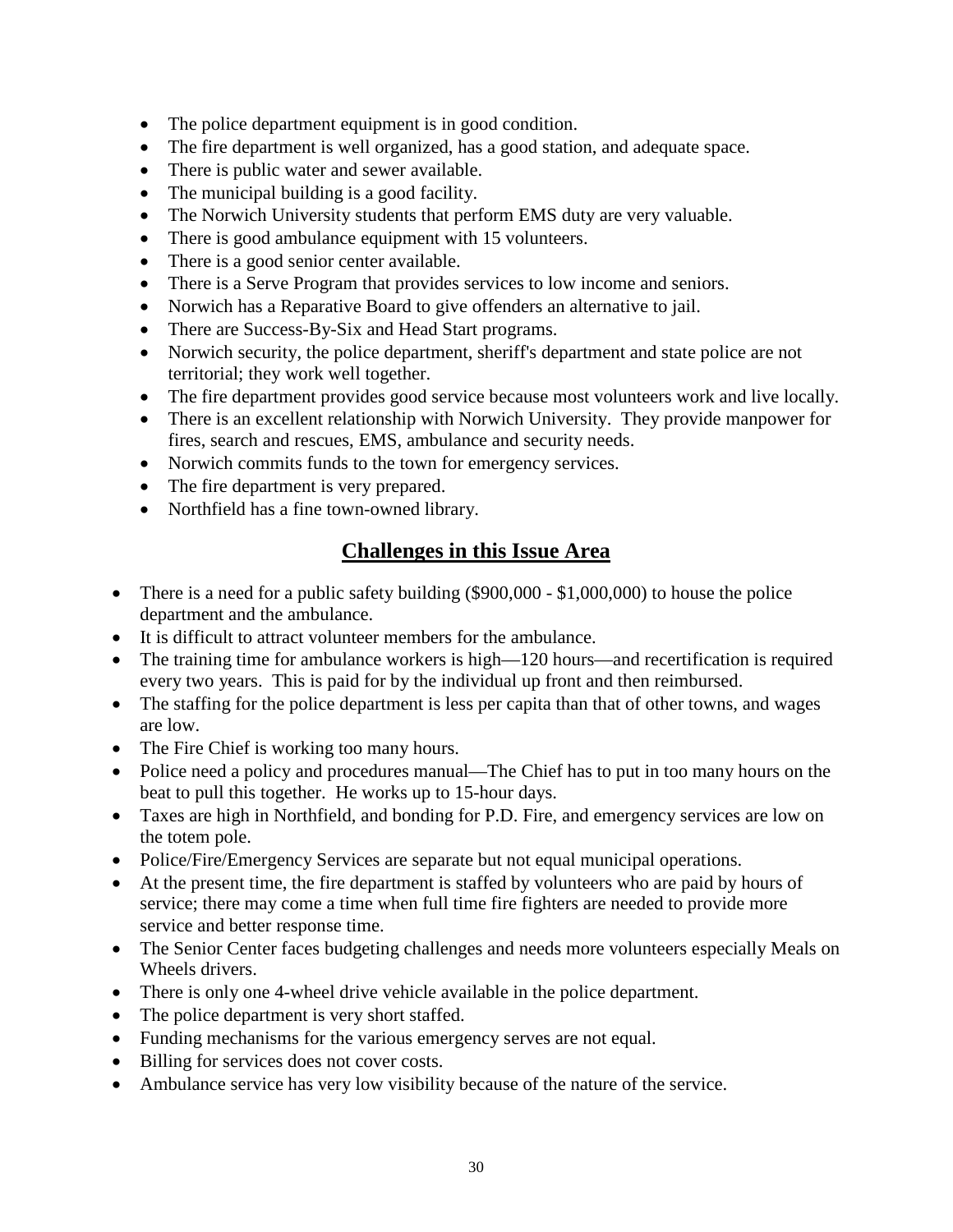- The police department equipment is in good condition.
- The fire department is well organized, has a good station, and adequate space.
- There is public water and sewer available.
- The municipal building is a good facility.
- The Norwich University students that perform EMS duty are very valuable.
- There is good ambulance equipment with 15 volunteers.
- There is a good senior center available.
- There is a Serve Program that provides services to low income and seniors.
- Norwich has a Reparative Board to give offenders an alternative to jail.
- There are Success-By-Six and Head Start programs.
- Norwich security, the police department, sheriff's department and state police are not territorial; they work well together.
- The fire department provides good service because most volunteers work and live locally.
- There is an excellent relationship with Norwich University. They provide manpower for fires, search and rescues, EMS, ambulance and security needs.
- Norwich commits funds to the town for emergency services.
- The fire department is very prepared.
- Northfield has a fine town-owned library.

- There is a need for a public safety building (\$900,000 \$1,000,000) to house the police department and the ambulance.
- It is difficult to attract volunteer members for the ambulance.
- The training time for ambulance workers is high—120 hours—and recertification is required every two years. This is paid for by the individual up front and then reimbursed.
- The staffing for the police department is less per capita than that of other towns, and wages are low.
- The Fire Chief is working too many hours.
- Police need a policy and procedures manual—The Chief has to put in too many hours on the beat to pull this together. He works up to 15-hour days.
- Taxes are high in Northfield, and bonding for P.D. Fire, and emergency services are low on the totem pole.
- Police/Fire/Emergency Services are separate but not equal municipal operations.
- At the present time, the fire department is staffed by volunteers who are paid by hours of service; there may come a time when full time fire fighters are needed to provide more service and better response time.
- The Senior Center faces budgeting challenges and needs more volunteers especially Meals on Wheels drivers.
- There is only one 4-wheel drive vehicle available in the police department.
- The police department is very short staffed.
- Funding mechanisms for the various emergency serves are not equal.
- Billing for services does not cover costs.
- Ambulance service has very low visibility because of the nature of the service.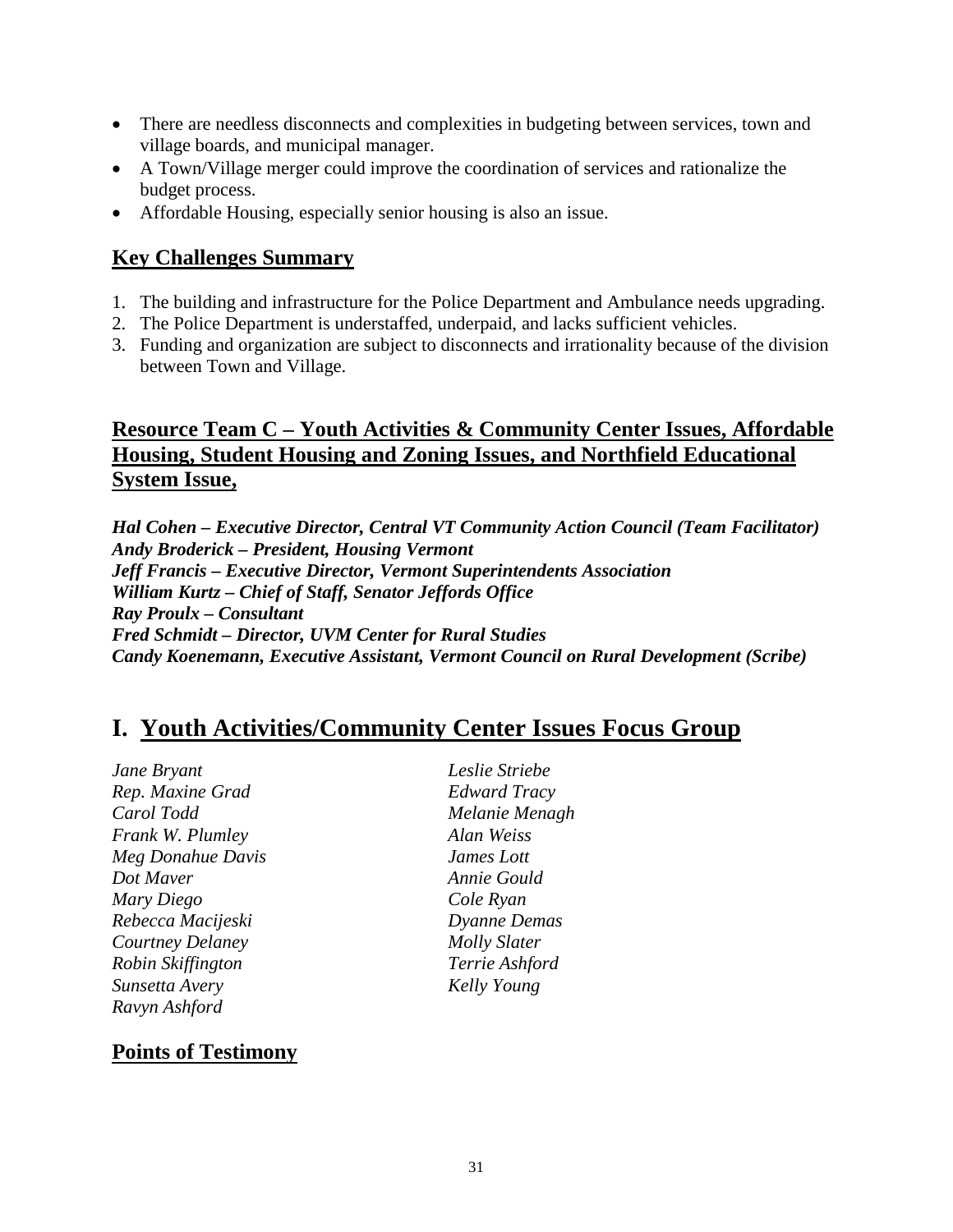- There are needless disconnects and complexities in budgeting between services, town and village boards, and municipal manager.
- A Town/Village merger could improve the coordination of services and rationalize the budget process.
- Affordable Housing, especially senior housing is also an issue.

#### **Key Challenges Summary**

- 1. The building and infrastructure for the Police Department and Ambulance needs upgrading.
- 2. The Police Department is understaffed, underpaid, and lacks sufficient vehicles.
- 3. Funding and organization are subject to disconnects and irrationality because of the division between Town and Village.

#### **Resource Team C – Youth Activities & Community Center Issues, Affordable Housing, Student Housing and Zoning Issues, and Northfield Educational System Issue,**

*Hal Cohen – Executive Director, Central VT Community Action Council (Team Facilitator) Andy Broderick – President, Housing Vermont Jeff Francis – Executive Director, Vermont Superintendents Association William Kurtz – Chief of Staff, Senator Jeffords Office Ray Proulx – Consultant Fred Schmidt – Director, UVM Center for Rural Studies Candy Koenemann, Executive Assistant, Vermont Council on Rural Development (Scribe)*

# **I. Youth Activities/Community Center Issues Focus Group**

*Jane Bryant Leslie Striebe Rep. Maxine Grad Edward Tracy Carol Todd Melanie Menagh Frank W. Plumley Alan Weiss Meg Donahue Davis James Lott Dot Maver Annie Gould Mary Diego Cole Ryan Rebecca Macijeski Dyanne Demas Courtney Delaney Molly Slater Robin Skiffington Terrie Ashford Sunsetta Avery Kelly Young Ravyn Ashford*

#### **Points of Testimony**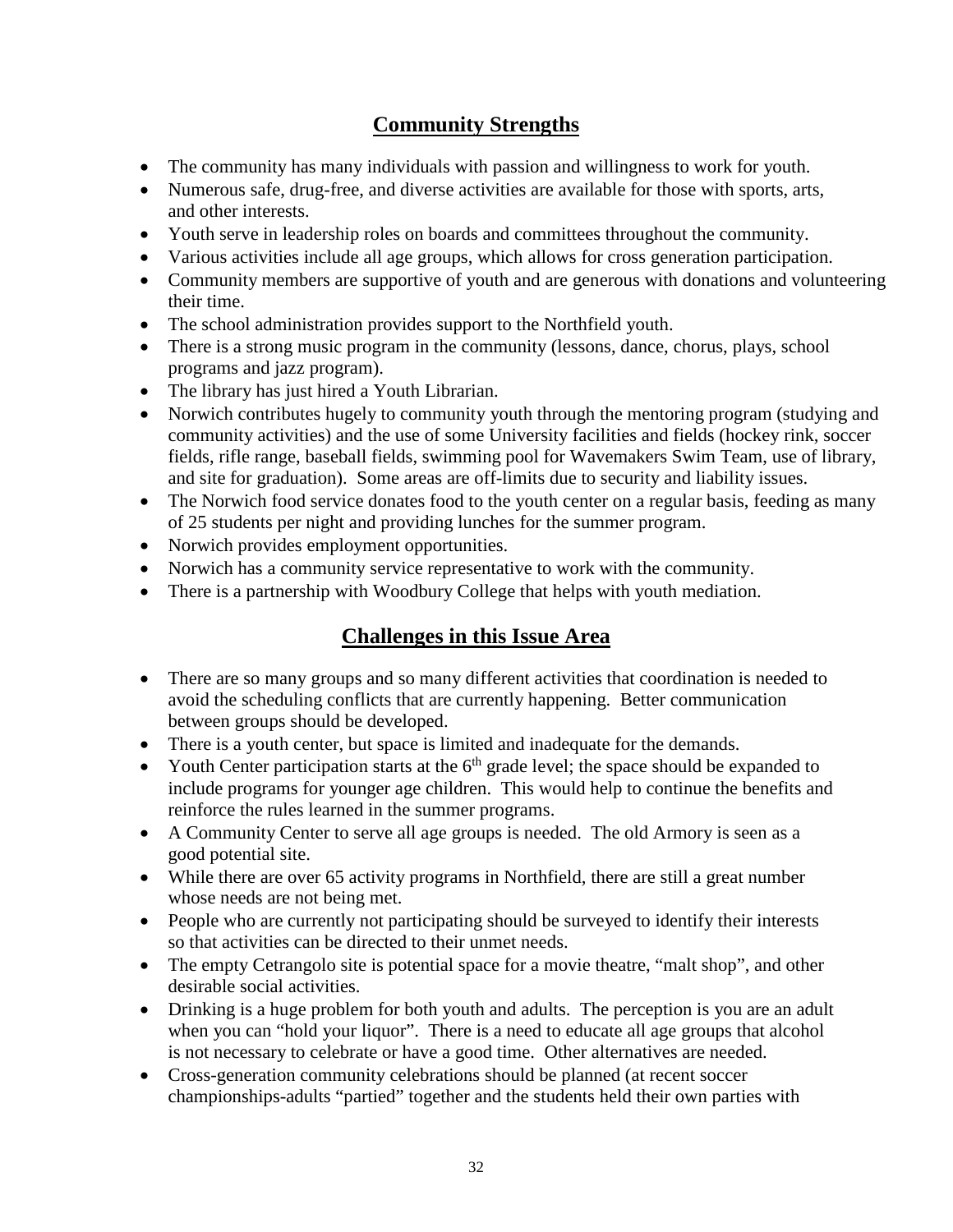#### **Community Strengths**

- The community has many individuals with passion and willingness to work for youth.
- Numerous safe, drug-free, and diverse activities are available for those with sports, arts, and other interests.
- Youth serve in leadership roles on boards and committees throughout the community.
- Various activities include all age groups, which allows for cross generation participation.
- Community members are supportive of youth and are generous with donations and volunteering their time.
- The school administration provides support to the Northfield youth.
- There is a strong music program in the community (lessons, dance, chorus, plays, school programs and jazz program).
- The library has just hired a Youth Librarian.
- Norwich contributes hugely to community youth through the mentoring program (studying and community activities) and the use of some University facilities and fields (hockey rink, soccer fields, rifle range, baseball fields, swimming pool for Wavemakers Swim Team, use of library, and site for graduation). Some areas are off-limits due to security and liability issues.
- The Norwich food service donates food to the youth center on a regular basis, feeding as many of 25 students per night and providing lunches for the summer program.
- Norwich provides employment opportunities.
- Norwich has a community service representative to work with the community.
- There is a partnership with Woodbury College that helps with youth mediation.

- There are so many groups and so many different activities that coordination is needed to avoid the scheduling conflicts that are currently happening. Better communication between groups should be developed.
- There is a youth center, but space is limited and inadequate for the demands.
- Youth Center participation starts at the  $6<sup>th</sup>$  grade level; the space should be expanded to include programs for younger age children. This would help to continue the benefits and reinforce the rules learned in the summer programs.
- A Community Center to serve all age groups is needed. The old Armory is seen as a good potential site.
- While there are over 65 activity programs in Northfield, there are still a great number whose needs are not being met.
- People who are currently not participating should be surveyed to identify their interests so that activities can be directed to their unmet needs.
- The empty Cetrangolo site is potential space for a movie theatre, "malt shop", and other desirable social activities.
- Drinking is a huge problem for both youth and adults. The perception is you are an adult when you can "hold your liquor". There is a need to educate all age groups that alcohol is not necessary to celebrate or have a good time. Other alternatives are needed.
- Cross-generation community celebrations should be planned (at recent soccer championships-adults "partied" together and the students held their own parties with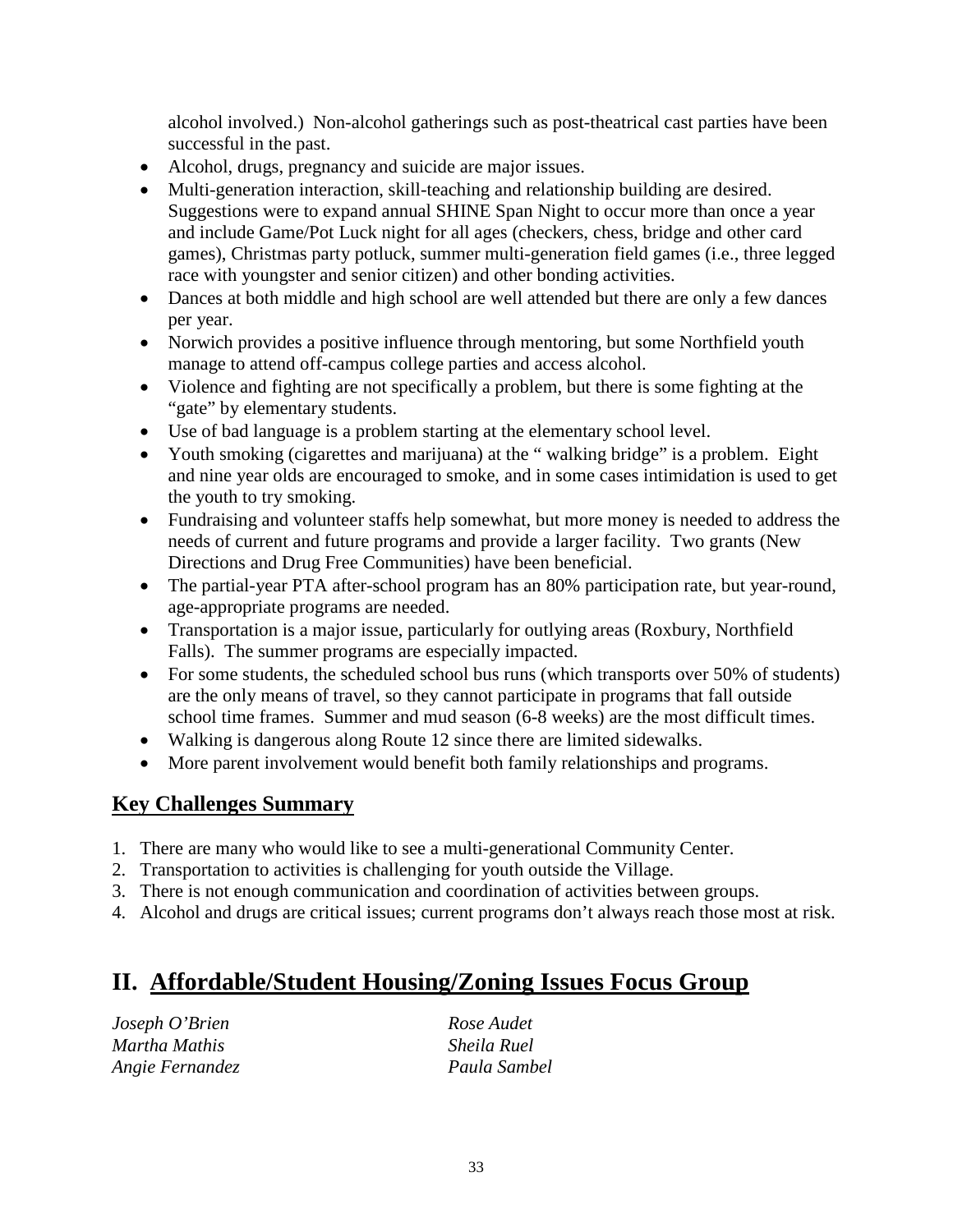alcohol involved.) Non-alcohol gatherings such as post-theatrical cast parties have been successful in the past.

- Alcohol, drugs, pregnancy and suicide are major issues.
- Multi-generation interaction, skill-teaching and relationship building are desired. Suggestions were to expand annual SHINE Span Night to occur more than once a year and include Game/Pot Luck night for all ages (checkers, chess, bridge and other card games), Christmas party potluck, summer multi-generation field games (i.e., three legged race with youngster and senior citizen) and other bonding activities.
- Dances at both middle and high school are well attended but there are only a few dances per year.
- Norwich provides a positive influence through mentoring, but some Northfield youth manage to attend off-campus college parties and access alcohol.
- Violence and fighting are not specifically a problem, but there is some fighting at the "gate" by elementary students.
- Use of bad language is a problem starting at the elementary school level.
- Youth smoking (cigarettes and marijuana) at the "walking bridge" is a problem. Eight and nine year olds are encouraged to smoke, and in some cases intimidation is used to get the youth to try smoking.
- Fundraising and volunteer staffs help somewhat, but more money is needed to address the needs of current and future programs and provide a larger facility. Two grants (New Directions and Drug Free Communities) have been beneficial.
- The partial-year PTA after-school program has an 80% participation rate, but year-round, age-appropriate programs are needed.
- Transportation is a major issue, particularly for outlying areas (Roxbury, Northfield Falls). The summer programs are especially impacted.
- For some students, the scheduled school bus runs (which transports over 50% of students) are the only means of travel, so they cannot participate in programs that fall outside school time frames. Summer and mud season (6-8 weeks) are the most difficult times.
- Walking is dangerous along Route 12 since there are limited sidewalks.
- More parent involvement would benefit both family relationships and programs.

#### **Key Challenges Summary**

- 1. There are many who would like to see a multi-generational Community Center.
- 2. Transportation to activities is challenging for youth outside the Village.
- 3. There is not enough communication and coordination of activities between groups.
- 4. Alcohol and drugs are critical issues; current programs don't always reach those most at risk.

# **II. Affordable/Student Housing/Zoning Issues Focus Group**

| Joseph O'Brien  |  |
|-----------------|--|
| Martha Mathis   |  |
| Angie Fernandez |  |

*Joseph O'Brien Rose Audet Martha Mathis Sheila Ruel Angie Fernandez Paula Sambel*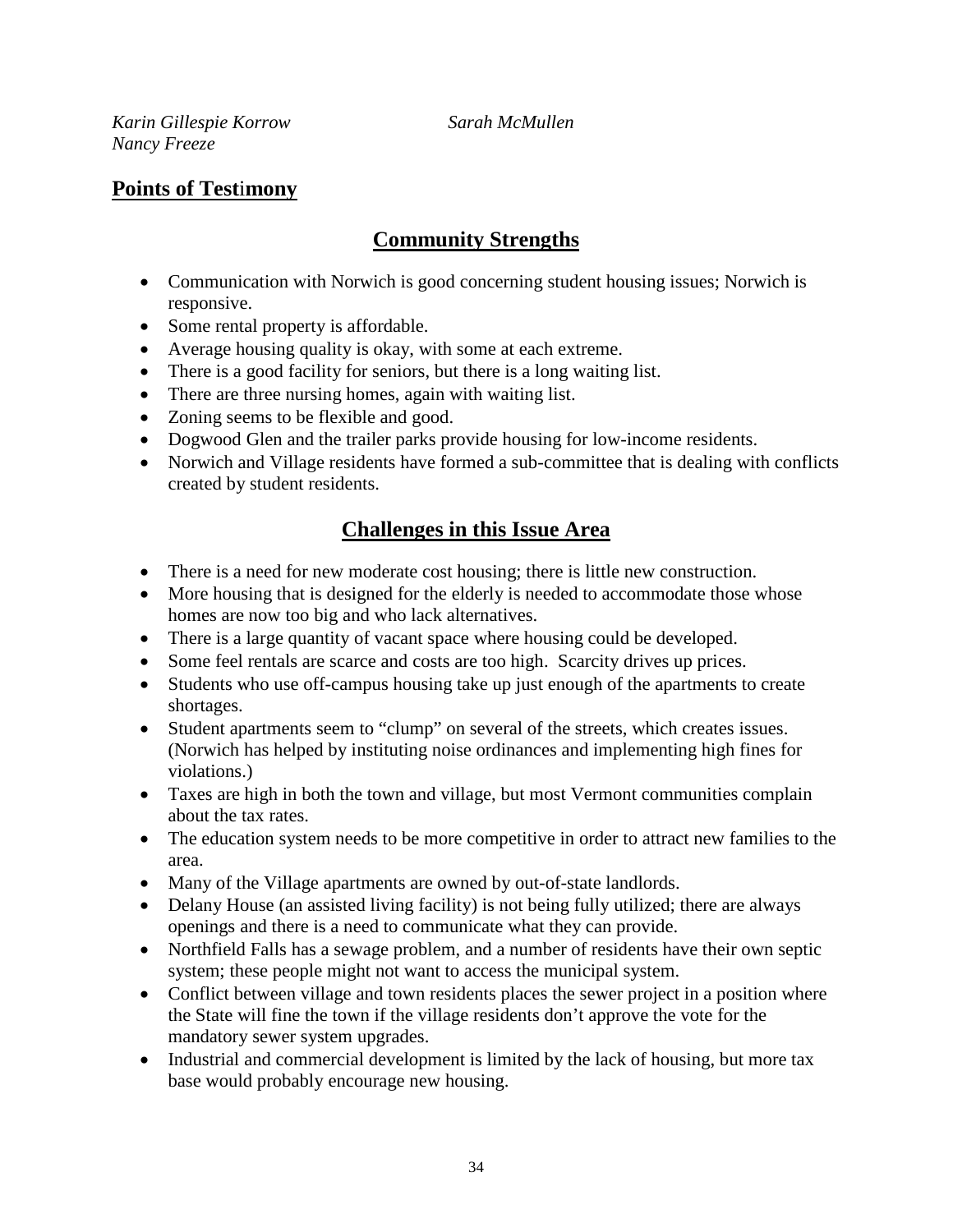*Karin Gillespie Korrow Sarah McMullen Nancy Freeze*

#### **Points of Test**i**mony**

#### **Community Strengths**

- Communication with Norwich is good concerning student housing issues; Norwich is responsive.
- Some rental property is affordable.
- Average housing quality is okay, with some at each extreme.
- There is a good facility for seniors, but there is a long waiting list.
- There are three nursing homes, again with waiting list.
- Zoning seems to be flexible and good.
- Dogwood Glen and the trailer parks provide housing for low-income residents.
- Norwich and Village residents have formed a sub-committee that is dealing with conflicts created by student residents.

- There is a need for new moderate cost housing; there is little new construction.
- More housing that is designed for the elderly is needed to accommodate those whose homes are now too big and who lack alternatives.
- There is a large quantity of vacant space where housing could be developed.
- Some feel rentals are scarce and costs are too high. Scarcity drives up prices.
- Students who use off-campus housing take up just enough of the apartments to create shortages.
- Student apartments seem to "clump" on several of the streets, which creates issues. (Norwich has helped by instituting noise ordinances and implementing high fines for violations.)
- Taxes are high in both the town and village, but most Vermont communities complain about the tax rates.
- The education system needs to be more competitive in order to attract new families to the area.
- Many of the Village apartments are owned by out-of-state landlords.
- Delany House (an assisted living facility) is not being fully utilized; there are always openings and there is a need to communicate what they can provide.
- Northfield Falls has a sewage problem, and a number of residents have their own septic system; these people might not want to access the municipal system.
- Conflict between village and town residents places the sewer project in a position where the State will fine the town if the village residents don't approve the vote for the mandatory sewer system upgrades.
- Industrial and commercial development is limited by the lack of housing, but more tax base would probably encourage new housing.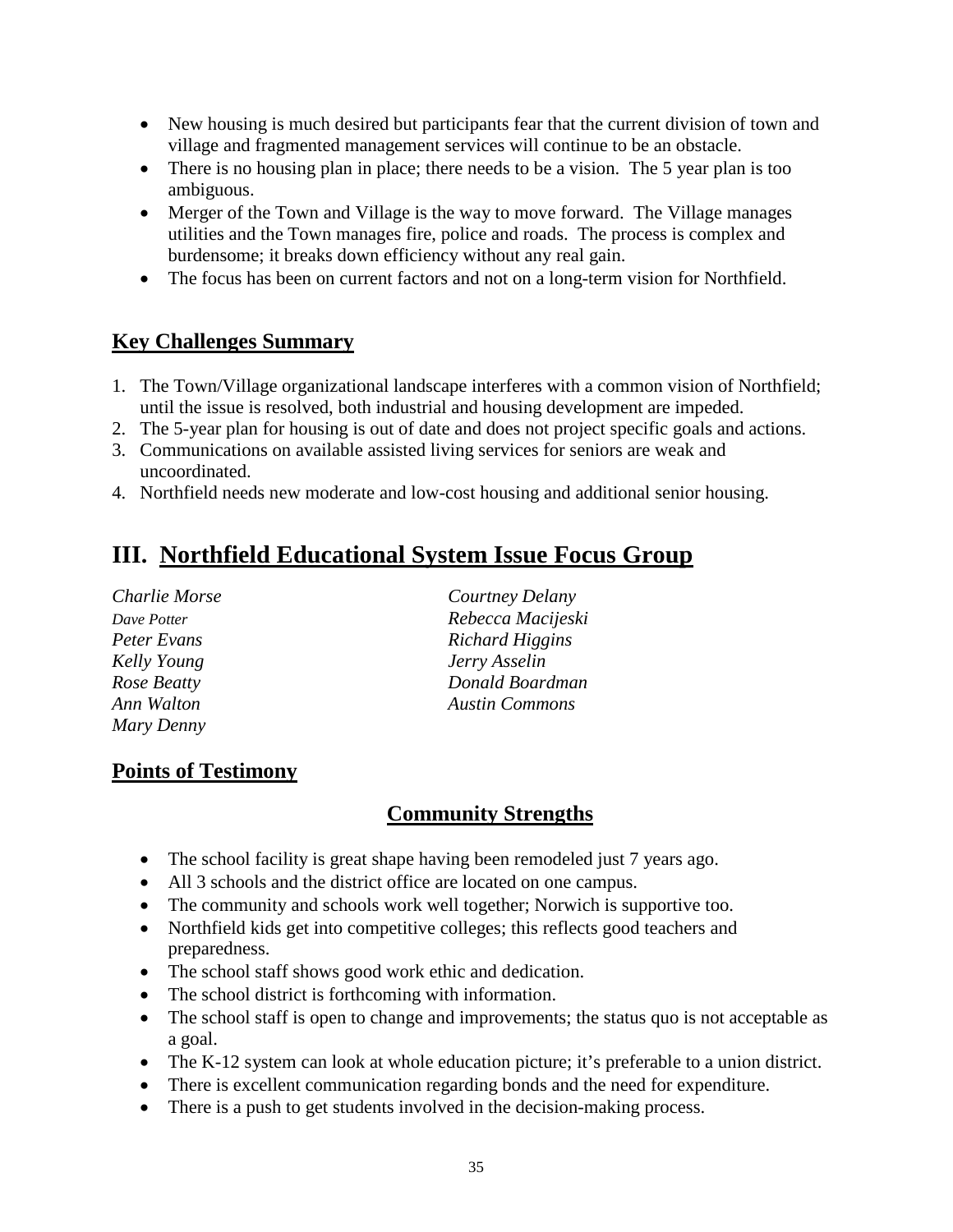- New housing is much desired but participants fear that the current division of town and village and fragmented management services will continue to be an obstacle.
- There is no housing plan in place; there needs to be a vision. The 5 year plan is too ambiguous.
- Merger of the Town and Village is the way to move forward. The Village manages utilities and the Town manages fire, police and roads. The process is complex and burdensome; it breaks down efficiency without any real gain.
- The focus has been on current factors and not on a long-term vision for Northfield.

#### **Key Challenges Summary**

- 1. The Town/Village organizational landscape interferes with a common vision of Northfield; until the issue is resolved, both industrial and housing development are impeded.
- 2. The 5-year plan for housing is out of date and does not project specific goals and actions.
- 3. Communications on available assisted living services for seniors are weak and uncoordinated.
- 4. Northfield needs new moderate and low-cost housing and additional senior housing.

# **III. Northfield Educational System Issue Focus Group**

| Charlie Morse      | Courtney Delany       |
|--------------------|-----------------------|
| Dave Potter        | Rebecca Macijeski     |
| Peter Evans        | Richard Higgins       |
| <b>Kelly Young</b> | Jerry Asselin         |
| Rose Beatty        | Donald Boardman       |
| Ann Walton         | <b>Austin Commons</b> |
| Mary Denny         |                       |

#### **Points of Testimony**

#### **Community Strengths**

- The school facility is great shape having been remodeled just 7 years ago.
- All 3 schools and the district office are located on one campus.
- The community and schools work well together; Norwich is supportive too.
- Northfield kids get into competitive colleges; this reflects good teachers and preparedness.
- The school staff shows good work ethic and dedication.
- The school district is forthcoming with information.
- The school staff is open to change and improvements; the status quo is not acceptable as a goal.
- The K-12 system can look at whole education picture; it's preferable to a union district.
- There is excellent communication regarding bonds and the need for expenditure.
- There is a push to get students involved in the decision-making process.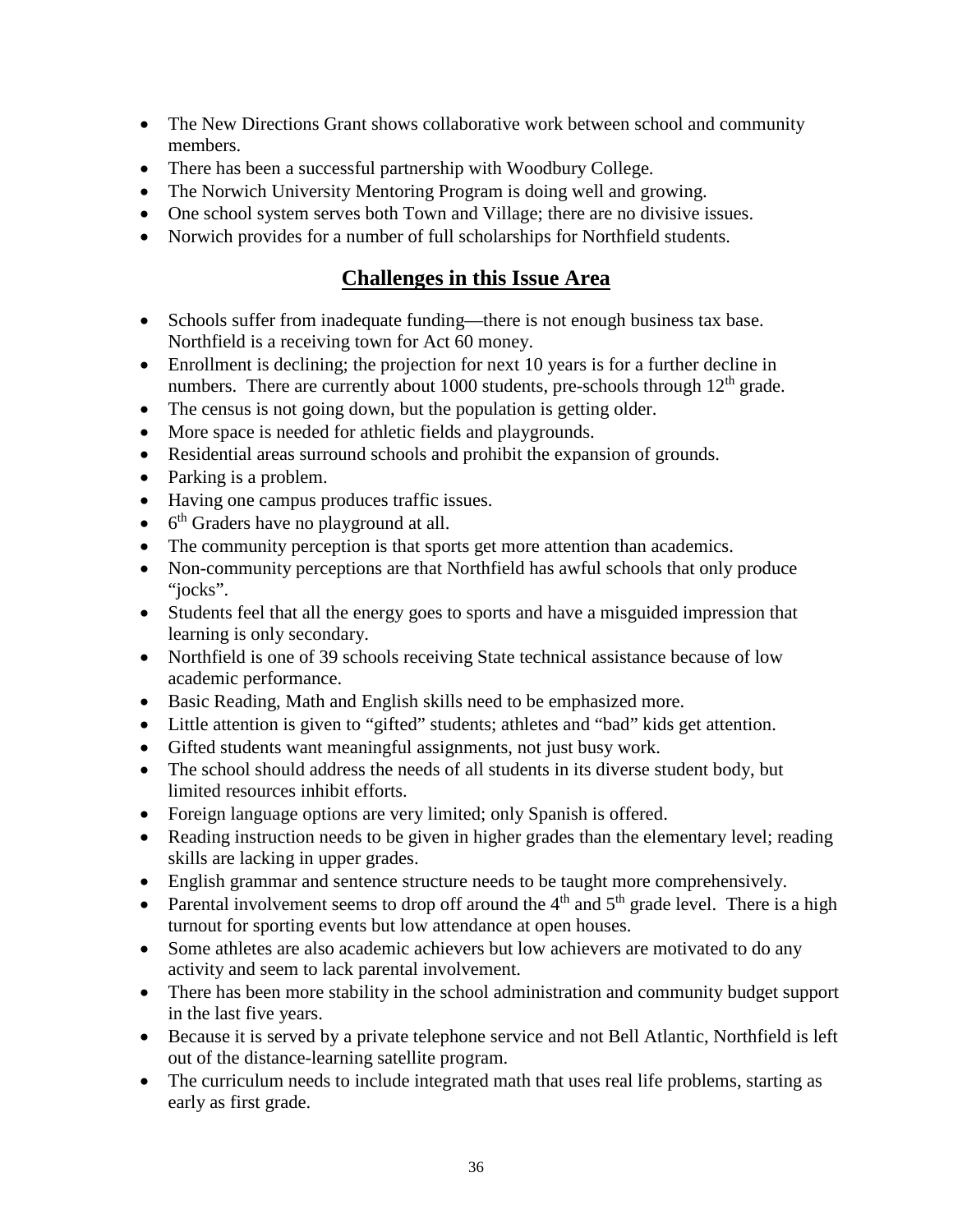- The New Directions Grant shows collaborative work between school and community members.
- There has been a successful partnership with Woodbury College.
- The Norwich University Mentoring Program is doing well and growing.
- One school system serves both Town and Village; there are no divisive issues.
- Norwich provides for a number of full scholarships for Northfield students.

- Schools suffer from inadequate funding—there is not enough business tax base. Northfield is a receiving town for Act 60 money.
- Enrollment is declining; the projection for next 10 years is for a further decline in numbers. There are currently about 1000 students, pre-schools through  $12<sup>th</sup>$  grade.
- The census is not going down, but the population is getting older.
- More space is needed for athletic fields and playgrounds.
- Residential areas surround schools and prohibit the expansion of grounds.
- Parking is a problem.
- Having one campus produces traffic issues.
- $\bullet$  6<sup>th</sup> Graders have no playground at all.
- The community perception is that sports get more attention than academics.
- Non-community perceptions are that Northfield has awful schools that only produce "jocks".
- Students feel that all the energy goes to sports and have a misguided impression that learning is only secondary.
- Northfield is one of 39 schools receiving State technical assistance because of low academic performance.
- Basic Reading, Math and English skills need to be emphasized more.
- Little attention is given to "gifted" students; athletes and "bad" kids get attention.
- Gifted students want meaningful assignments, not just busy work.
- The school should address the needs of all students in its diverse student body, but limited resources inhibit efforts.
- Foreign language options are very limited; only Spanish is offered.
- Reading instruction needs to be given in higher grades than the elementary level; reading skills are lacking in upper grades.
- English grammar and sentence structure needs to be taught more comprehensively.
- Parental involvement seems to drop off around the  $4<sup>th</sup>$  and  $5<sup>th</sup>$  grade level. There is a high turnout for sporting events but low attendance at open houses.
- Some athletes are also academic achievers but low achievers are motivated to do any activity and seem to lack parental involvement.
- There has been more stability in the school administration and community budget support in the last five years.
- Because it is served by a private telephone service and not Bell Atlantic, Northfield is left out of the distance-learning satellite program.
- The curriculum needs to include integrated math that uses real life problems, starting as early as first grade.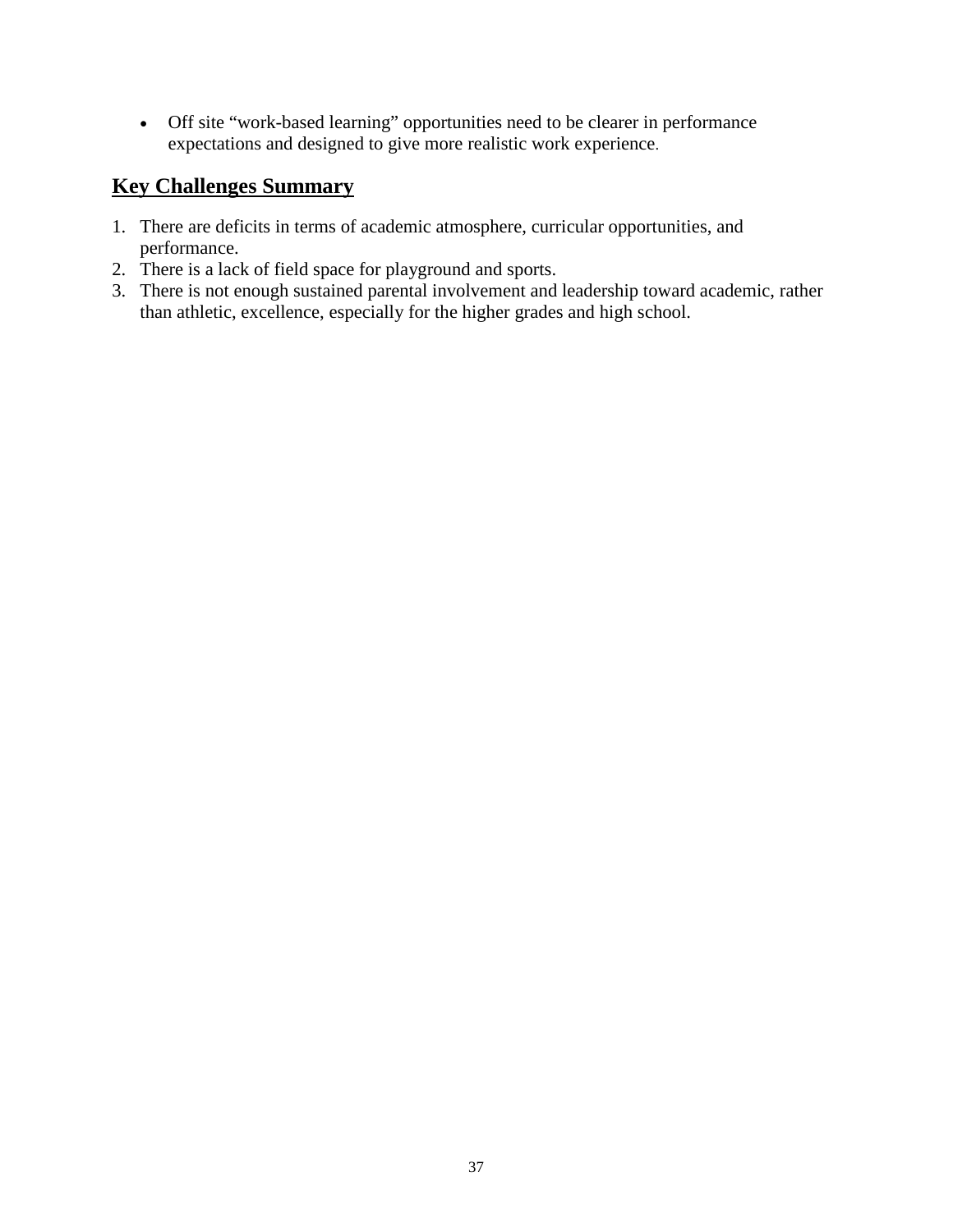• Off site "work-based learning" opportunities need to be clearer in performance expectations and designed to give more realistic work experience.

#### **Key Challenges Summary**

- 1. There are deficits in terms of academic atmosphere, curricular opportunities, and performance.
- 2. There is a lack of field space for playground and sports.
- 3. There is not enough sustained parental involvement and leadership toward academic, rather than athletic, excellence, especially for the higher grades and high school.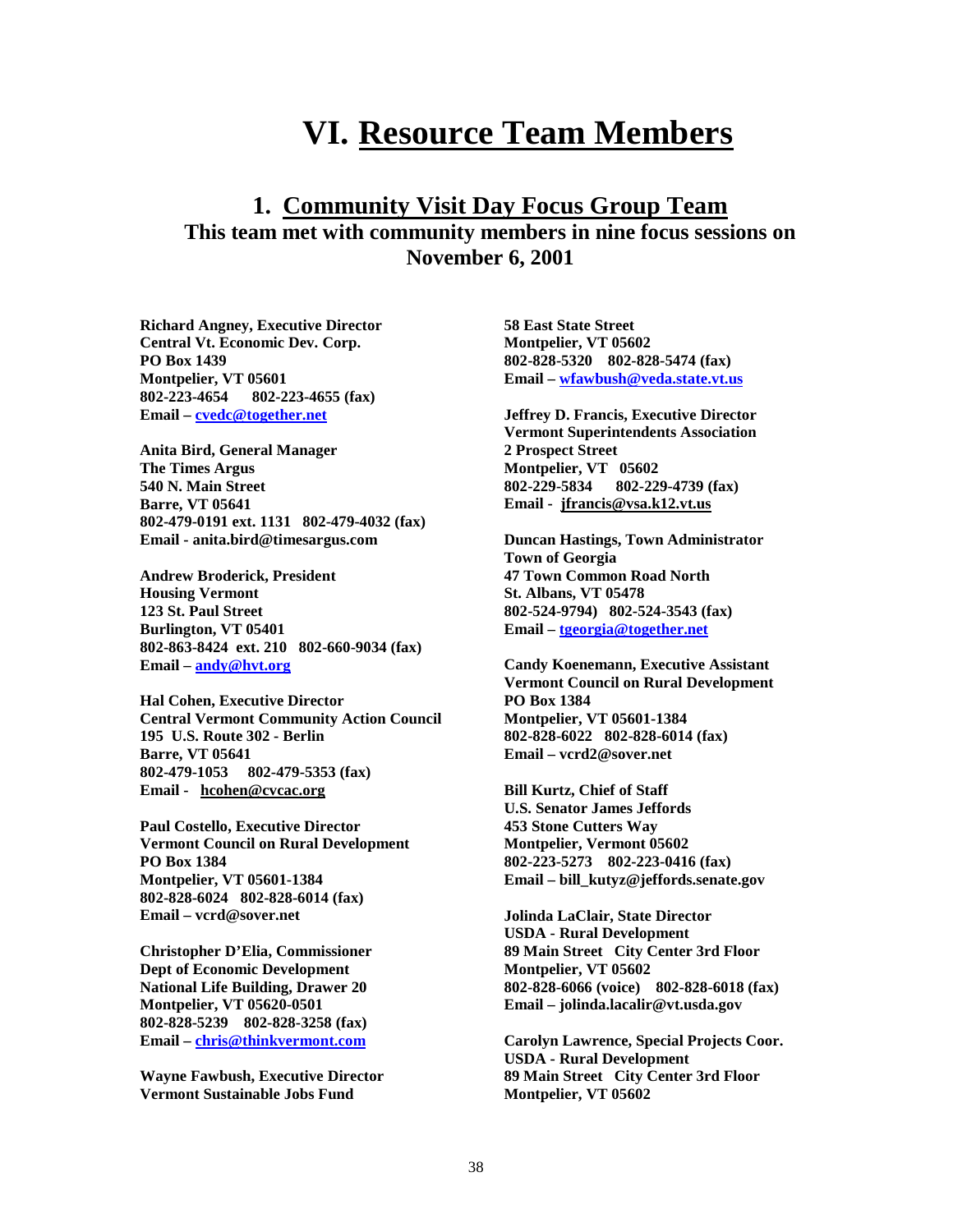# **VI. Resource Team Members**

#### **1. Community Visit Day Focus Group Team This team met with community members in nine focus sessions on November 6, 2001**

**Richard Angney, Executive Director Central Vt. Economic Dev. Corp. PO Box 1439 Montpelier, VT 05601<br>802-223-4654 802-2 802-223-4654 802-223-4655 (fax) Email – [cvedc@together.net](mailto:cvedc@together.net)**

**Anita Bird, General Manager The Times Argus 540 N. Main Street Barre, VT 05641 802-479-0191 ext. 1131 802-479-4032 (fax) Email - anita.bird@timesargus.com**

**Andrew Broderick, President Housing Vermont 123 St. Paul Street Burlington, VT 05401 802-863-8424 ext. 210 802-660-9034 (fax) Email – [andy@hvt.org](mailto:andy@hvt.org)**

**Hal Cohen, Executive Director Central Vermont Community Action Council 195 U.S. Route 302 - Berlin Barre, VT 05641 802-479-1053 802-479-5353 (fax) Email - hcohen@cvcac.org**

**Paul Costello, Executive Director Vermont Council on Rural Development PO Box 1384 Montpelier, VT 05601-1384 802-828-6024 802-828-6014 (fax) Email – vcrd@sover.net**

**Christopher D'Elia, Commissioner Dept of Economic Development National Life Building, Drawer 20 Montpelier, VT 05620-0501 802-828-5239 802-828-3258 (fax) Email – [chris@thinkvermont.com](mailto:chris@thinkvermont.com)**

**Wayne Fawbush, Executive Director Vermont Sustainable Jobs Fund**

**58 East State Street Montpelier, VT 05602 802-828-5320 802-828-5474 (fax) Email – [wfawbush@veda.state.vt.us](mailto:wfawbush@veda.state.vt.us)**

**Jeffrey D. Francis, Executive Director Vermont Superintendents Association 2 Prospect Street Montpelier, VT 05602 802-229-5834 802-229-4739 (fax) Email - jfrancis@vsa.k12.vt.us**

**Duncan Hastings, Town Administrator Town of Georgia 47 Town Common Road North St. Albans, VT 05478 802-524-9794) 802-524-3543 (fax) Email – [tgeorgia@together.net](mailto:tgeorgia@together.net)**

**Candy Koenemann, Executive Assistant Vermont Council on Rural Development PO Box 1384 Montpelier, VT 05601-1384 802-828-6022 802-828-6014 (fax) Email – vcrd2@sover.net**

**Bill Kurtz, Chief of Staff U.S. Senator James Jeffords 453 Stone Cutters Way Montpelier, Vermont 05602 802-223-5273 802-223-0416 (fax) Email – bill\_kutyz@jeffords.senate.gov**

**Jolinda LaClair, State Director USDA - Rural Development 89 Main Street City Center 3rd Floor Montpelier, VT 05602 802-828-6066 (voice) 802-828-6018 (fax) Email – jolinda.lacalir@vt.usda.gov**

**Carolyn Lawrence, Special Projects Coor. USDA - Rural Development 89 Main Street City Center 3rd Floor Montpelier, VT 05602**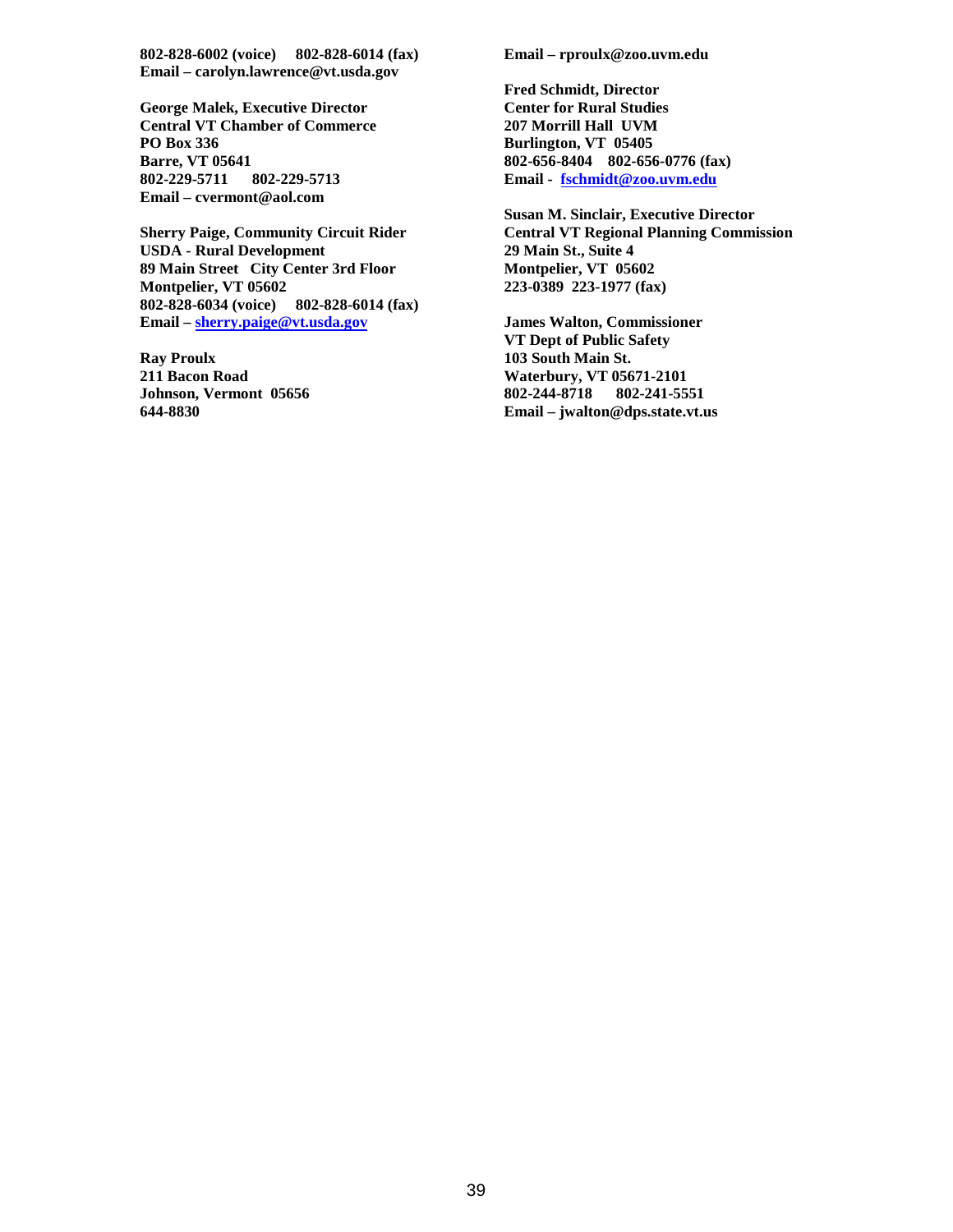**802-828-6002 (voice) 802-828-6014 (fax) Email – carolyn.lawrence@vt.usda.gov**

**George Malek, Executive Director Central VT Chamber of Commerce PO Box 336 Barre, VT 05641 802-229-5711 802-229-5713 Email – cvermont@aol.com**

**Sherry Paige, Community Circuit Rider USDA - Rural Development 89 Main Street City Center 3rd Floor Montpelier, VT 05602 802-828-6034 (voice) 802-828-6014 (fax) Email – [sherry.paige@vt.usda.gov](mailto:sherry.paige@vt.usda.gov)**

**Ray Proulx 211 Bacon Road Johnson, Vermont 05656 644-8830**

**Email – rproulx@zoo.uvm.edu**

**Fred Schmidt, Director Center for Rural Studies 207 Morrill Hall UVM Burlington, VT 05405 802-656-8404 802-656-0776 (fax) Email - [fschmidt@zoo.uvm.edu](mailto:fschmidt@zoo.uvm.edu)**

**Susan M. Sinclair, Executive Director Central VT Regional Planning Commission 29 Main St., Suite 4 Montpelier, VT 05602 223-0389 223-1977 (fax)**

**James Walton, Commissioner VT Dept of Public Safety 103 South Main St. Waterbury, VT 05671-2101 802-244-8718 802-241-5551 Email – jwalton@dps.state.vt.us**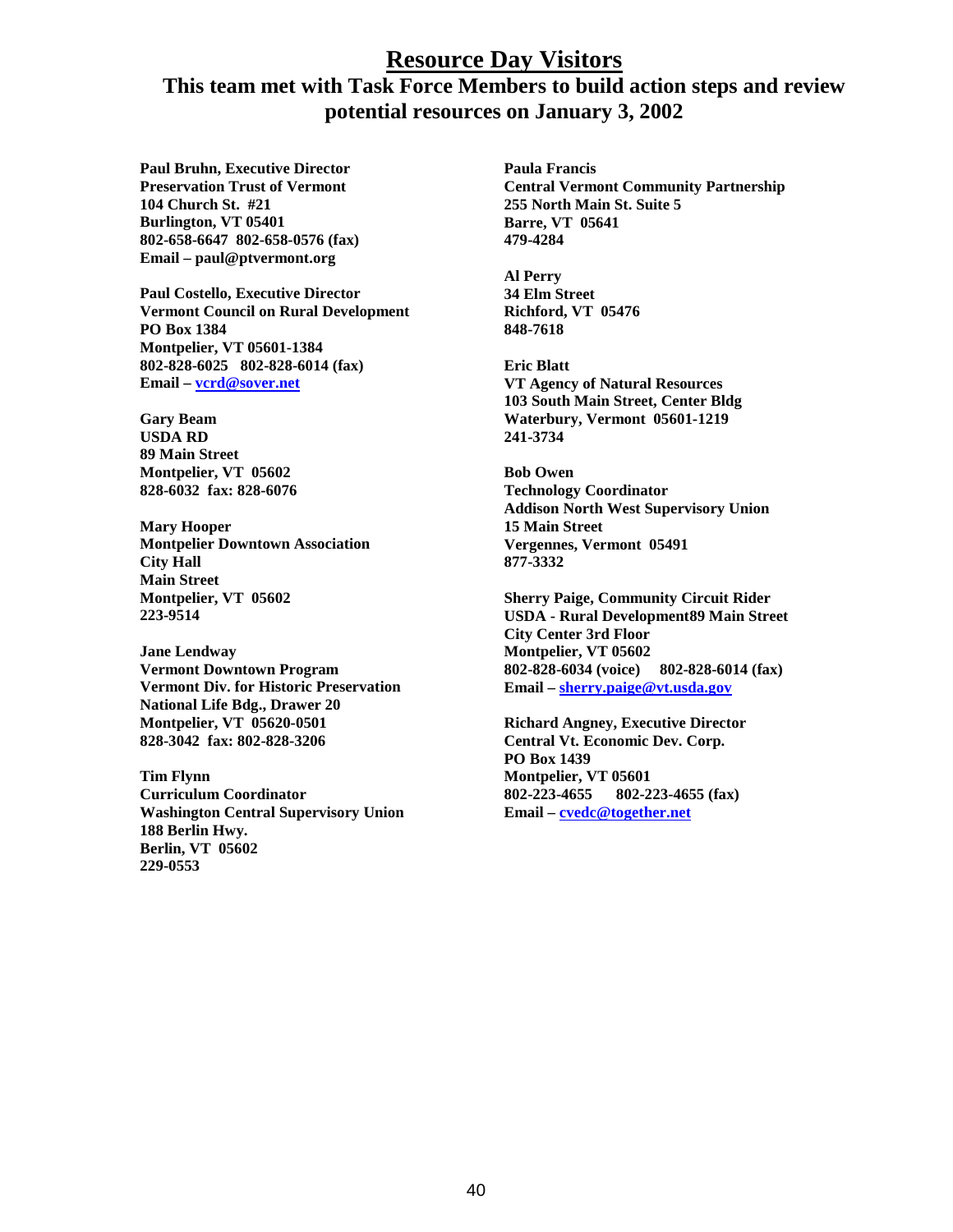#### **Resource Day Visitors**

#### **This team met with Task Force Members to build action steps and review potential resources on January 3, 2002**

**Paul Bruhn, Executive Director Preservation Trust of Vermont 104 Church St. #21 Burlington, VT 05401 802-658-6647 802-658-0576 (fax) Email – paul@ptvermont.org**

**Paul Costello, Executive Director Vermont Council on Rural Development PO Box 1384 Montpelier, VT 05601-1384 802-828-6025 802-828-6014 (fax) Email – [vcrd@sover.net](mailto:vcrd@sover.net)**

**Gary Beam USDA RD 89 Main Street Montpelier, VT 05602 828-6032 fax: 828-6076**

**Mary Hooper Montpelier Downtown Association City Hall Main Street Montpelier, VT 05602 223-9514**

**Jane Lendway Vermont Downtown Program Vermont Div. for Historic Preservation National Life Bdg., Drawer 20 Montpelier, VT 05620-0501 828-3042 fax: 802-828-3206**

**Tim Flynn Curriculum Coordinator Washington Central Supervisory Union 188 Berlin Hwy. Berlin, VT 05602 229-0553**

**Paula Francis Central Vermont Community Partnership 255 North Main St. Suite 5 Barre, VT 05641 479-4284**

**Al Perry 34 Elm Street Richford, VT 05476 848-7618**

**Eric Blatt VT Agency of Natural Resources 103 South Main Street, Center Bldg Waterbury, Vermont 05601-1219 241-3734**

**Bob Owen Technology Coordinator Addison North West Supervisory Union 15 Main Street Vergennes, Vermont 05491 877-3332**

**Sherry Paige, Community Circuit Rider USDA - Rural Development89 Main Street City Center 3rd Floor Montpelier, VT 05602 802-828-6034 (voice) 802-828-6014 (fax) Email – [sherry.paige@vt.usda.gov](mailto:sherry.paige@vt.usda.gov)**

**Richard Angney, Executive Director Central Vt. Economic Dev. Corp. PO Box 1439 Montpelier, VT 05601 802-223-4655 802-223-4655 (fax) Email – [cvedc@together.net](mailto:cvedc@together.net)**